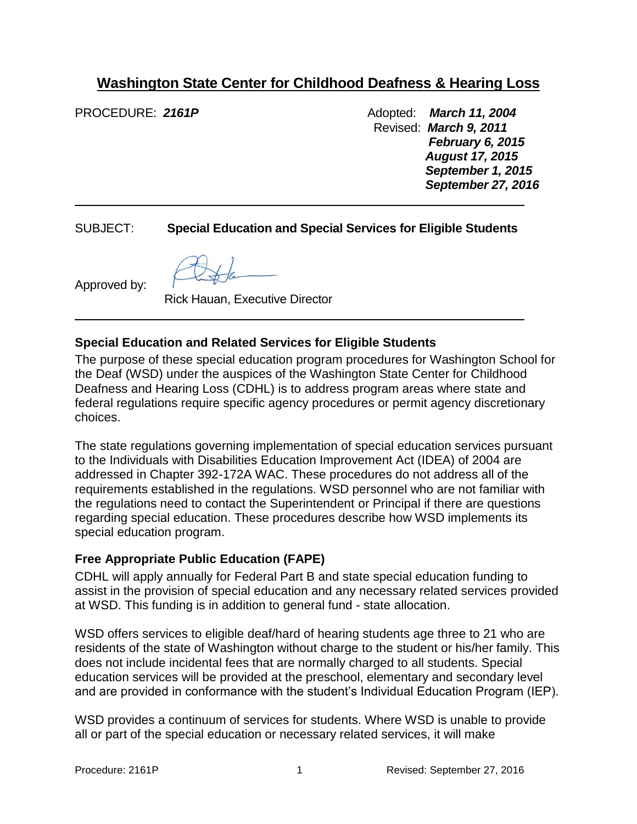# **Washington State Center for Childhood Deafness & Hearing Loss**

PROCEDURE: 2161P **Adopted:** *March 11, 2004* Adopted: *March 11, 2004*  Revised: *March 9, 2011 February 6, 2015 August 17, 2015 September 1, 2015 September 27, 2016*

## SUBJECT: **Special Education and Special Services for Eligible Students**

Approved by:

Rick Hauan, Executive Director

 $\frac{1}{2}$ 

## **Special Education and Related Services for Eligible Students**

The purpose of these special education program procedures for Washington School for the Deaf (WSD) under the auspices of the Washington State Center for Childhood Deafness and Hearing Loss (CDHL) is to address program areas where state and federal regulations require specific agency procedures or permit agency discretionary choices.

The state regulations governing implementation of special education services pursuant to the Individuals with Disabilities Education Improvement Act (IDEA) of 2004 are addressed in Chapter 392-172A WAC. These procedures do not address all of the requirements established in the regulations. WSD personnel who are not familiar with the regulations need to contact the Superintendent or Principal if there are questions regarding special education. These procedures describe how WSD implements its special education program.

#### **Free Appropriate Public Education (FAPE)**

CDHL will apply annually for Federal Part B and state special education funding to assist in the provision of special education and any necessary related services provided at WSD. This funding is in addition to general fund - state allocation.

WSD offers services to eligible deaf/hard of hearing students age three to 21 who are residents of the state of Washington without charge to the student or his/her family. This does not include incidental fees that are normally charged to all students. Special education services will be provided at the preschool, elementary and secondary level and are provided in conformance with the student's Individual Education Program (IEP).

WSD provides a continuum of services for students. Where WSD is unable to provide all or part of the special education or necessary related services, it will make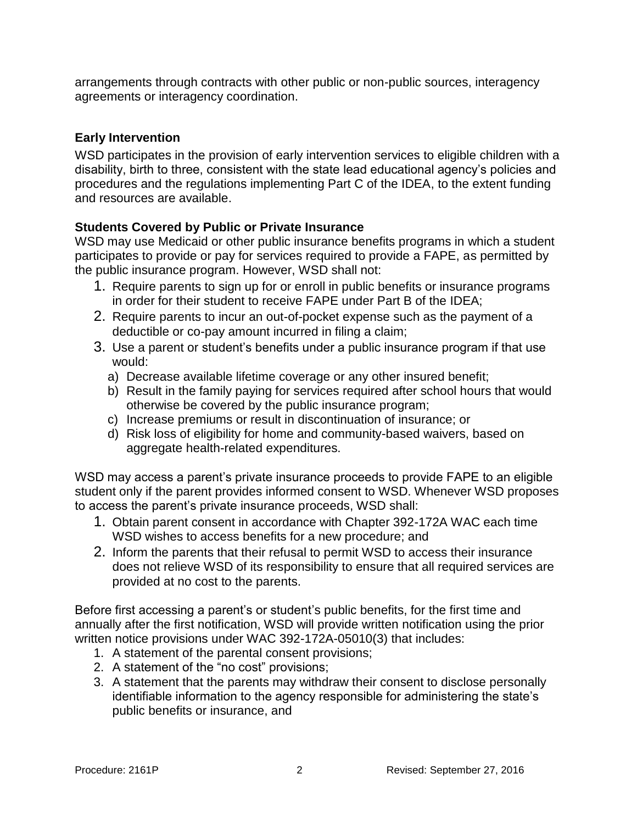arrangements through contracts with other public or non-public sources, interagency agreements or interagency coordination.

## **Early Intervention**

WSD participates in the provision of early intervention services to eligible children with a disability, birth to three, consistent with the state lead educational agency's policies and procedures and the regulations implementing Part C of the IDEA, to the extent funding and resources are available.

## **Students Covered by Public or Private Insurance**

WSD may use Medicaid or other public insurance benefits programs in which a student participates to provide or pay for services required to provide a FAPE, as permitted by the public insurance program. However, WSD shall not:

- 1. Require parents to sign up for or enroll in public benefits or insurance programs in order for their student to receive FAPE under Part B of the IDEA;
- 2. Require parents to incur an out-of-pocket expense such as the payment of a deductible or co-pay amount incurred in filing a claim;
- 3. Use a parent or student's benefits under a public insurance program if that use would:
	- a) Decrease available lifetime coverage or any other insured benefit;
	- b) Result in the family paying for services required after school hours that would otherwise be covered by the public insurance program;
	- c) Increase premiums or result in discontinuation of insurance; or
	- d) Risk loss of eligibility for home and community-based waivers, based on aggregate health-related expenditures.

WSD may access a parent's private insurance proceeds to provide FAPE to an eligible student only if the parent provides informed consent to WSD. Whenever WSD proposes to access the parent's private insurance proceeds, WSD shall:

- 1. Obtain parent consent in accordance with Chapter 392-172A WAC each time WSD wishes to access benefits for a new procedure; and
- 2. Inform the parents that their refusal to permit WSD to access their insurance does not relieve WSD of its responsibility to ensure that all required services are provided at no cost to the parents.

Before first accessing a parent's or student's public benefits, for the first time and annually after the first notification, WSD will provide written notification using the prior written notice provisions under WAC 392-172A-05010(3) that includes:

- 1. A statement of the parental consent provisions;
- 2. A statement of the "no cost" provisions;
- 3. A statement that the parents may withdraw their consent to disclose personally identifiable information to the agency responsible for administering the state's public benefits or insurance, and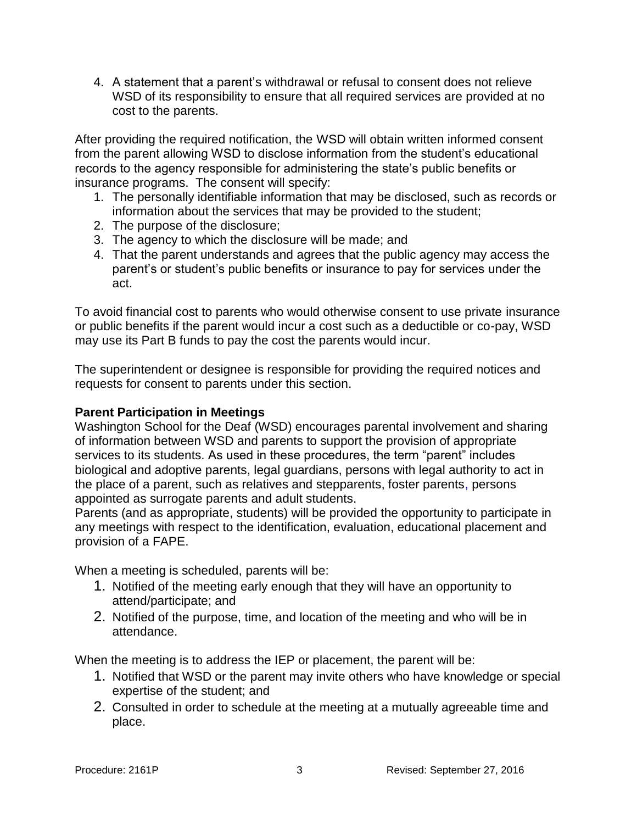4. A statement that a parent's withdrawal or refusal to consent does not relieve WSD of its responsibility to ensure that all required services are provided at no cost to the parents.

After providing the required notification, the WSD will obtain written informed consent from the parent allowing WSD to disclose information from the student's educational records to the agency responsible for administering the state's public benefits or insurance programs. The consent will specify:

- 1. The personally identifiable information that may be disclosed, such as records or information about the services that may be provided to the student;
- 2. The purpose of the disclosure;
- 3. The agency to which the disclosure will be made; and
- 4. That the parent understands and agrees that the public agency may access the parent's or student's public benefits or insurance to pay for services under the act.

To avoid financial cost to parents who would otherwise consent to use private insurance or public benefits if the parent would incur a cost such as a deductible or co-pay, WSD may use its Part B funds to pay the cost the parents would incur.

The superintendent or designee is responsible for providing the required notices and requests for consent to parents under this section.

#### **Parent Participation in Meetings**

Washington School for the Deaf (WSD) encourages parental involvement and sharing of information between WSD and parents to support the provision of appropriate services to its students. As used in these procedures, the term "parent" includes biological and adoptive parents, legal guardians, persons with legal authority to act in the place of a parent, such as relatives and stepparents, foster parents, persons appointed as surrogate parents and adult students.

Parents (and as appropriate, students) will be provided the opportunity to participate in any meetings with respect to the identification, evaluation, educational placement and provision of a FAPE.

When a meeting is scheduled, parents will be:

- 1. Notified of the meeting early enough that they will have an opportunity to attend/participate; and
- 2. Notified of the purpose, time, and location of the meeting and who will be in attendance.

When the meeting is to address the IEP or placement, the parent will be:

- 1. Notified that WSD or the parent may invite others who have knowledge or special expertise of the student; and
- 2. Consulted in order to schedule at the meeting at a mutually agreeable time and place.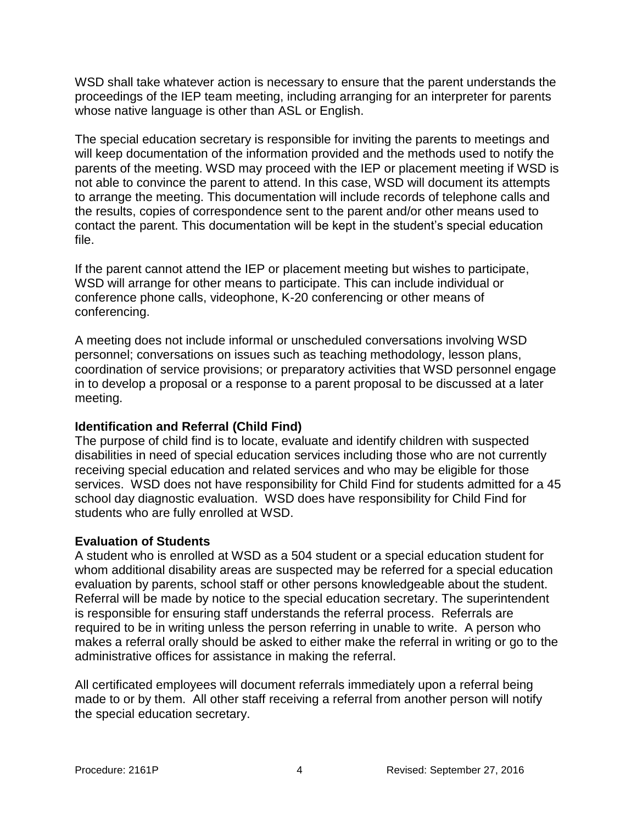WSD shall take whatever action is necessary to ensure that the parent understands the proceedings of the IEP team meeting, including arranging for an interpreter for parents whose native language is other than ASL or English.

The special education secretary is responsible for inviting the parents to meetings and will keep documentation of the information provided and the methods used to notify the parents of the meeting. WSD may proceed with the IEP or placement meeting if WSD is not able to convince the parent to attend. In this case, WSD will document its attempts to arrange the meeting. This documentation will include records of telephone calls and the results, copies of correspondence sent to the parent and/or other means used to contact the parent. This documentation will be kept in the student's special education file.

If the parent cannot attend the IEP or placement meeting but wishes to participate, WSD will arrange for other means to participate. This can include individual or conference phone calls, videophone, K-20 conferencing or other means of conferencing.

A meeting does not include informal or unscheduled conversations involving WSD personnel; conversations on issues such as teaching methodology, lesson plans, coordination of service provisions; or preparatory activities that WSD personnel engage in to develop a proposal or a response to a parent proposal to be discussed at a later meeting.

## **Identification and Referral (Child Find)**

The purpose of child find is to locate, evaluate and identify children with suspected disabilities in need of special education services including those who are not currently receiving special education and related services and who may be eligible for those services. WSD does not have responsibility for Child Find for students admitted for a 45 school day diagnostic evaluation. WSD does have responsibility for Child Find for students who are fully enrolled at WSD.

#### **Evaluation of Students**

A student who is enrolled at WSD as a 504 student or a special education student for whom additional disability areas are suspected may be referred for a special education evaluation by parents, school staff or other persons knowledgeable about the student. Referral will be made by notice to the special education secretary. The superintendent is responsible for ensuring staff understands the referral process. Referrals are required to be in writing unless the person referring in unable to write. A person who makes a referral orally should be asked to either make the referral in writing or go to the administrative offices for assistance in making the referral.

All certificated employees will document referrals immediately upon a referral being made to or by them. All other staff receiving a referral from another person will notify the special education secretary.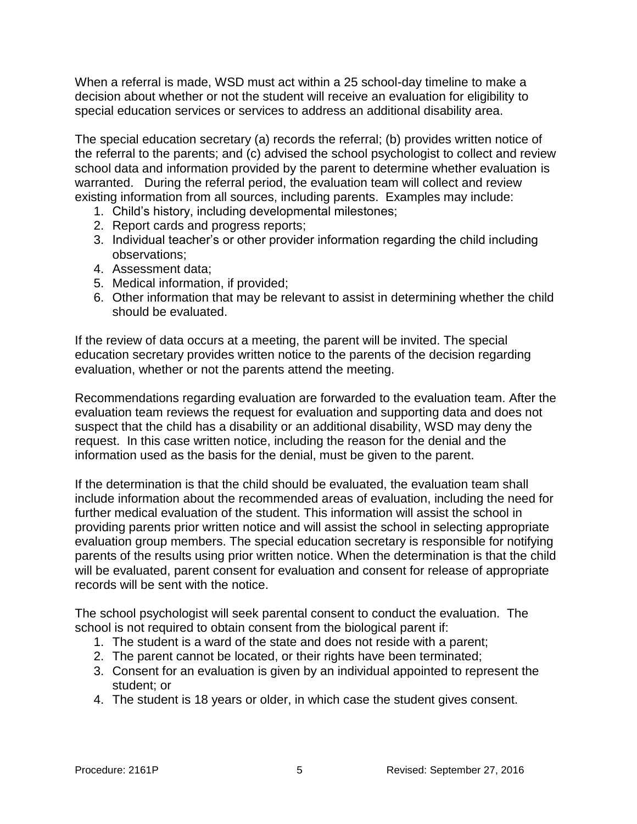When a referral is made, WSD must act within a 25 school-day timeline to make a decision about whether or not the student will receive an evaluation for eligibility to special education services or services to address an additional disability area.

The special education secretary (a) records the referral; (b) provides written notice of the referral to the parents; and (c) advised the school psychologist to collect and review school data and information provided by the parent to determine whether evaluation is warranted. During the referral period, the evaluation team will collect and review existing information from all sources, including parents. Examples may include:

- 1. Child's history, including developmental milestones;
- 2. Report cards and progress reports;
- 3. Individual teacher's or other provider information regarding the child including observations;
- 4. Assessment data;
- 5. Medical information, if provided;
- 6. Other information that may be relevant to assist in determining whether the child should be evaluated.

If the review of data occurs at a meeting, the parent will be invited. The special education secretary provides written notice to the parents of the decision regarding evaluation, whether or not the parents attend the meeting.

Recommendations regarding evaluation are forwarded to the evaluation team. After the evaluation team reviews the request for evaluation and supporting data and does not suspect that the child has a disability or an additional disability, WSD may deny the request. In this case written notice, including the reason for the denial and the information used as the basis for the denial, must be given to the parent.

If the determination is that the child should be evaluated, the evaluation team shall include information about the recommended areas of evaluation, including the need for further medical evaluation of the student. This information will assist the school in providing parents prior written notice and will assist the school in selecting appropriate evaluation group members. The special education secretary is responsible for notifying parents of the results using prior written notice. When the determination is that the child will be evaluated, parent consent for evaluation and consent for release of appropriate records will be sent with the notice.

The school psychologist will seek parental consent to conduct the evaluation. The school is not required to obtain consent from the biological parent if:

- 1. The student is a ward of the state and does not reside with a parent;
- 2. The parent cannot be located, or their rights have been terminated;
- 3. Consent for an evaluation is given by an individual appointed to represent the student; or
- 4. The student is 18 years or older, in which case the student gives consent.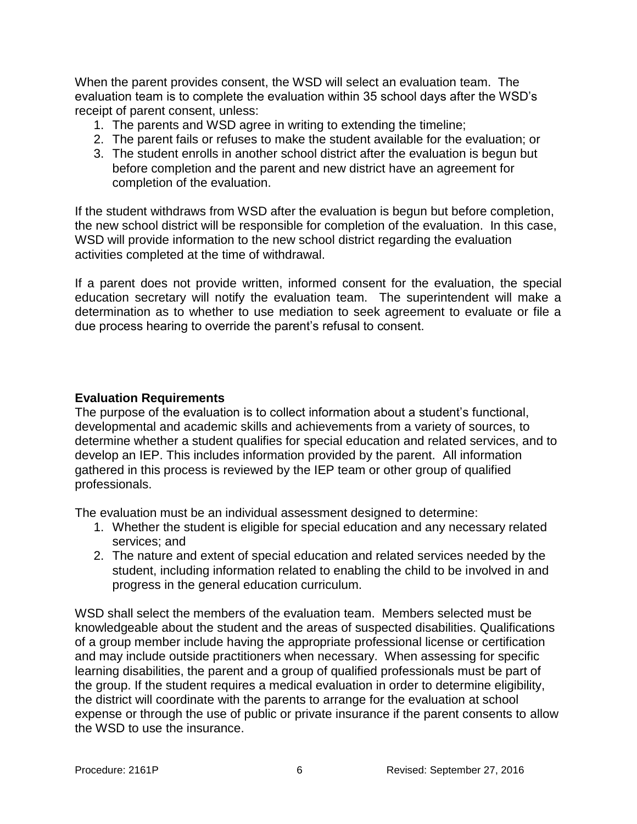When the parent provides consent, the WSD will select an evaluation team. The evaluation team is to complete the evaluation within 35 school days after the WSD's receipt of parent consent, unless:

- 1. The parents and WSD agree in writing to extending the timeline;
- 2. The parent fails or refuses to make the student available for the evaluation; or
- 3. The student enrolls in another school district after the evaluation is begun but before completion and the parent and new district have an agreement for completion of the evaluation.

If the student withdraws from WSD after the evaluation is begun but before completion, the new school district will be responsible for completion of the evaluation. In this case, WSD will provide information to the new school district regarding the evaluation activities completed at the time of withdrawal.

If a parent does not provide written, informed consent for the evaluation, the special education secretary will notify the evaluation team. The superintendent will make a determination as to whether to use mediation to seek agreement to evaluate or file a due process hearing to override the parent's refusal to consent.

#### **Evaluation Requirements**

The purpose of the evaluation is to collect information about a student's functional, developmental and academic skills and achievements from a variety of sources, to determine whether a student qualifies for special education and related services, and to develop an IEP. This includes information provided by the parent. All information gathered in this process is reviewed by the IEP team or other group of qualified professionals.

The evaluation must be an individual assessment designed to determine:

- 1. Whether the student is eligible for special education and any necessary related services; and
- 2. The nature and extent of special education and related services needed by the student, including information related to enabling the child to be involved in and progress in the general education curriculum.

WSD shall select the members of the evaluation team. Members selected must be knowledgeable about the student and the areas of suspected disabilities. Qualifications of a group member include having the appropriate professional license or certification and may include outside practitioners when necessary. When assessing for specific learning disabilities, the parent and a group of qualified professionals must be part of the group. If the student requires a medical evaluation in order to determine eligibility, the district will coordinate with the parents to arrange for the evaluation at school expense or through the use of public or private insurance if the parent consents to allow the WSD to use the insurance.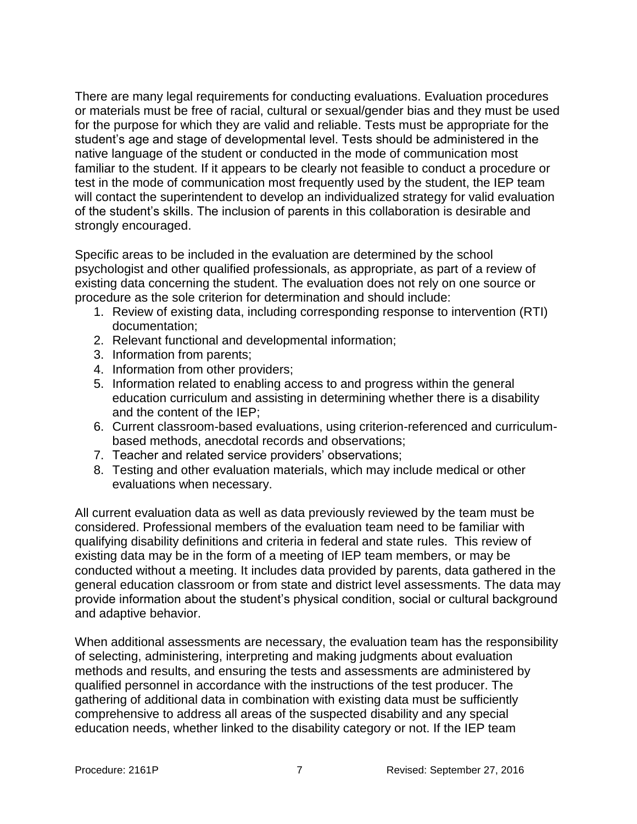There are many legal requirements for conducting evaluations. Evaluation procedures or materials must be free of racial, cultural or sexual/gender bias and they must be used for the purpose for which they are valid and reliable. Tests must be appropriate for the student's age and stage of developmental level. Tests should be administered in the native language of the student or conducted in the mode of communication most familiar to the student. If it appears to be clearly not feasible to conduct a procedure or test in the mode of communication most frequently used by the student, the IEP team will contact the superintendent to develop an individualized strategy for valid evaluation of the student's skills. The inclusion of parents in this collaboration is desirable and strongly encouraged.

Specific areas to be included in the evaluation are determined by the school psychologist and other qualified professionals, as appropriate, as part of a review of existing data concerning the student. The evaluation does not rely on one source or procedure as the sole criterion for determination and should include:

- 1. Review of existing data, including corresponding response to intervention (RTI) documentation;
- 2. Relevant functional and developmental information;
- 3. Information from parents;
- 4. Information from other providers;
- 5. Information related to enabling access to and progress within the general education curriculum and assisting in determining whether there is a disability and the content of the IEP;
- 6. Current classroom-based evaluations, using criterion-referenced and curriculumbased methods, anecdotal records and observations;
- 7. Teacher and related service providers' observations;
- 8. Testing and other evaluation materials, which may include medical or other evaluations when necessary.

All current evaluation data as well as data previously reviewed by the team must be considered. Professional members of the evaluation team need to be familiar with qualifying disability definitions and criteria in federal and state rules. This review of existing data may be in the form of a meeting of IEP team members, or may be conducted without a meeting. It includes data provided by parents, data gathered in the general education classroom or from state and district level assessments. The data may provide information about the student's physical condition, social or cultural background and adaptive behavior.

When additional assessments are necessary, the evaluation team has the responsibility of selecting, administering, interpreting and making judgments about evaluation methods and results, and ensuring the tests and assessments are administered by qualified personnel in accordance with the instructions of the test producer. The gathering of additional data in combination with existing data must be sufficiently comprehensive to address all areas of the suspected disability and any special education needs, whether linked to the disability category or not. If the IEP team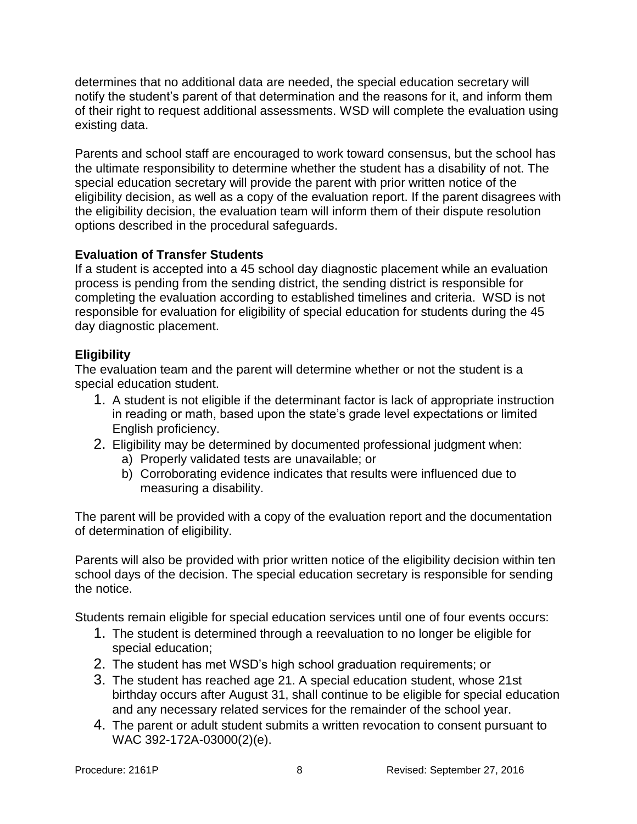determines that no additional data are needed, the special education secretary will notify the student's parent of that determination and the reasons for it, and inform them of their right to request additional assessments. WSD will complete the evaluation using existing data.

Parents and school staff are encouraged to work toward consensus, but the school has the ultimate responsibility to determine whether the student has a disability of not. The special education secretary will provide the parent with prior written notice of the eligibility decision, as well as a copy of the evaluation report. If the parent disagrees with the eligibility decision, the evaluation team will inform them of their dispute resolution options described in the procedural safeguards.

## **Evaluation of Transfer Students**

If a student is accepted into a 45 school day diagnostic placement while an evaluation process is pending from the sending district, the sending district is responsible for completing the evaluation according to established timelines and criteria. WSD is not responsible for evaluation for eligibility of special education for students during the 45 day diagnostic placement.

## **Eligibility**

The evaluation team and the parent will determine whether or not the student is a special education student.

- 1. A student is not eligible if the determinant factor is lack of appropriate instruction in reading or math, based upon the state's grade level expectations or limited English proficiency.
- 2. Eligibility may be determined by documented professional judgment when:
	- a) Properly validated tests are unavailable; or
	- b) Corroborating evidence indicates that results were influenced due to measuring a disability.

The parent will be provided with a copy of the evaluation report and the documentation of determination of eligibility.

Parents will also be provided with prior written notice of the eligibility decision within ten school days of the decision. The special education secretary is responsible for sending the notice.

Students remain eligible for special education services until one of four events occurs:

- 1. The student is determined through a reevaluation to no longer be eligible for special education;
- 2. The student has met WSD's high school graduation requirements; or
- 3. The student has reached age 21. A special education student, whose 21st birthday occurs after August 31, shall continue to be eligible for special education and any necessary related services for the remainder of the school year.
- 4. The parent or adult student submits a written revocation to consent pursuant to WAC 392-172A-03000(2)(e).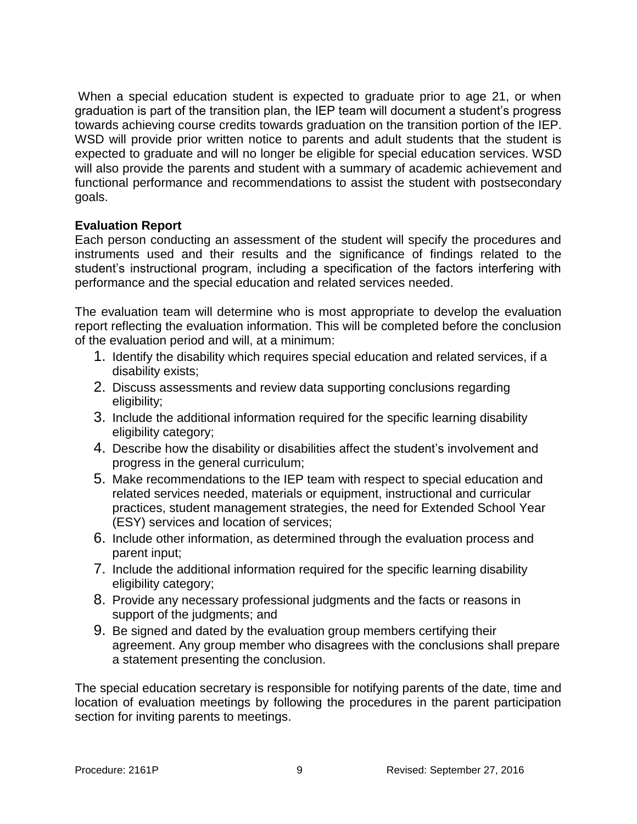When a special education student is expected to graduate prior to age 21, or when graduation is part of the transition plan, the IEP team will document a student's progress towards achieving course credits towards graduation on the transition portion of the IEP. WSD will provide prior written notice to parents and adult students that the student is expected to graduate and will no longer be eligible for special education services. WSD will also provide the parents and student with a summary of academic achievement and functional performance and recommendations to assist the student with postsecondary goals.

## **Evaluation Report**

Each person conducting an assessment of the student will specify the procedures and instruments used and their results and the significance of findings related to the student's instructional program, including a specification of the factors interfering with performance and the special education and related services needed.

The evaluation team will determine who is most appropriate to develop the evaluation report reflecting the evaluation information. This will be completed before the conclusion of the evaluation period and will, at a minimum:

- 1. Identify the disability which requires special education and related services, if a disability exists;
- 2. Discuss assessments and review data supporting conclusions regarding eligibility;
- 3. Include the additional information required for the specific learning disability eligibility category;
- 4. Describe how the disability or disabilities affect the student's involvement and progress in the general curriculum;
- 5. Make recommendations to the IEP team with respect to special education and related services needed, materials or equipment, instructional and curricular practices, student management strategies, the need for Extended School Year (ESY) services and location of services;
- 6. Include other information, as determined through the evaluation process and parent input;
- 7. Include the additional information required for the specific learning disability eligibility category;
- 8. Provide any necessary professional judgments and the facts or reasons in support of the judgments; and
- 9. Be signed and dated by the evaluation group members certifying their agreement. Any group member who disagrees with the conclusions shall prepare a statement presenting the conclusion.

The special education secretary is responsible for notifying parents of the date, time and location of evaluation meetings by following the procedures in the parent participation section for inviting parents to meetings.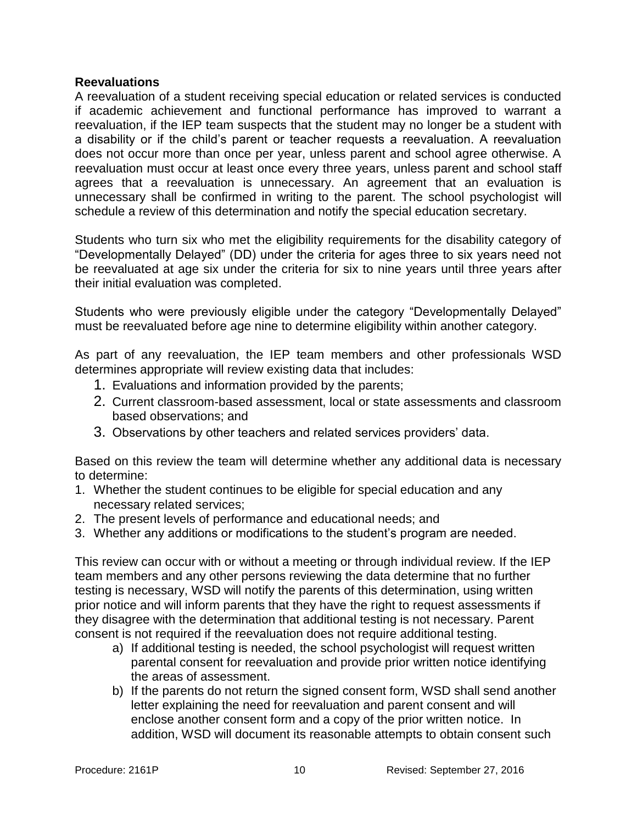#### **Reevaluations**

A reevaluation of a student receiving special education or related services is conducted if academic achievement and functional performance has improved to warrant a reevaluation, if the IEP team suspects that the student may no longer be a student with a disability or if the child's parent or teacher requests a reevaluation. A reevaluation does not occur more than once per year, unless parent and school agree otherwise. A reevaluation must occur at least once every three years, unless parent and school staff agrees that a reevaluation is unnecessary. An agreement that an evaluation is unnecessary shall be confirmed in writing to the parent. The school psychologist will schedule a review of this determination and notify the special education secretary.

Students who turn six who met the eligibility requirements for the disability category of "Developmentally Delayed" (DD) under the criteria for ages three to six years need not be reevaluated at age six under the criteria for six to nine years until three years after their initial evaluation was completed.

Students who were previously eligible under the category "Developmentally Delayed" must be reevaluated before age nine to determine eligibility within another category.

As part of any reevaluation, the IEP team members and other professionals WSD determines appropriate will review existing data that includes:

- 1. Evaluations and information provided by the parents;
- 2. Current classroom-based assessment, local or state assessments and classroom based observations; and
- 3. Observations by other teachers and related services providers' data.

Based on this review the team will determine whether any additional data is necessary to determine:

- 1. Whether the student continues to be eligible for special education and any necessary related services;
- 2. The present levels of performance and educational needs; and
- 3. Whether any additions or modifications to the student's program are needed.

This review can occur with or without a meeting or through individual review. If the IEP team members and any other persons reviewing the data determine that no further testing is necessary, WSD will notify the parents of this determination, using written prior notice and will inform parents that they have the right to request assessments if they disagree with the determination that additional testing is not necessary. Parent consent is not required if the reevaluation does not require additional testing.

- a) If additional testing is needed, the school psychologist will request written parental consent for reevaluation and provide prior written notice identifying the areas of assessment.
- b) If the parents do not return the signed consent form, WSD shall send another letter explaining the need for reevaluation and parent consent and will enclose another consent form and a copy of the prior written notice. In addition, WSD will document its reasonable attempts to obtain consent such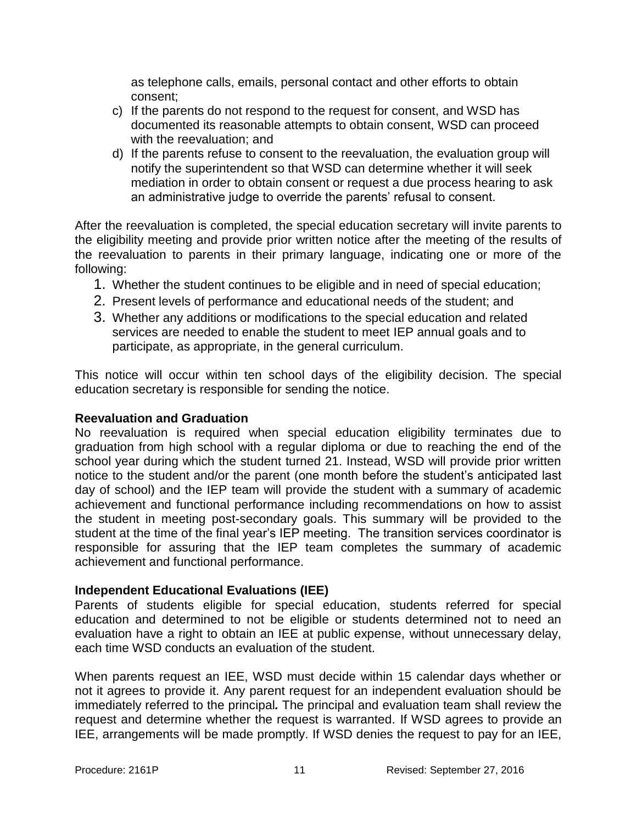as telephone calls, emails, personal contact and other efforts to obtain consent;

- c) If the parents do not respond to the request for consent, and WSD has documented its reasonable attempts to obtain consent, WSD can proceed with the reevaluation; and
- d) If the parents refuse to consent to the reevaluation, the evaluation group will notify the superintendent so that WSD can determine whether it will seek mediation in order to obtain consent or request a due process hearing to ask an administrative judge to override the parents' refusal to consent.

After the reevaluation is completed, the special education secretary will invite parents to the eligibility meeting and provide prior written notice after the meeting of the results of the reevaluation to parents in their primary language, indicating one or more of the following:

- 1. Whether the student continues to be eligible and in need of special education;
- 2. Present levels of performance and educational needs of the student; and
- 3. Whether any additions or modifications to the special education and related services are needed to enable the student to meet IEP annual goals and to participate, as appropriate, in the general curriculum.

This notice will occur within ten school days of the eligibility decision. The special education secretary is responsible for sending the notice.

#### **Reevaluation and Graduation**

No reevaluation is required when special education eligibility terminates due to graduation from high school with a regular diploma or due to reaching the end of the school year during which the student turned 21. Instead, WSD will provide prior written notice to the student and/or the parent (one month before the student's anticipated last day of school) and the IEP team will provide the student with a summary of academic achievement and functional performance including recommendations on how to assist the student in meeting post-secondary goals. This summary will be provided to the student at the time of the final year's IEP meeting. The transition services coordinator is responsible for assuring that the IEP team completes the summary of academic achievement and functional performance.

#### **Independent Educational Evaluations (IEE)**

Parents of students eligible for special education, students referred for special education and determined to not be eligible or students determined not to need an evaluation have a right to obtain an IEE at public expense, without unnecessary delay, each time WSD conducts an evaluation of the student.

When parents request an IEE, WSD must decide within 15 calendar days whether or not it agrees to provide it. Any parent request for an independent evaluation should be immediately referred to the principal*.* The principal and evaluation team shall review the request and determine whether the request is warranted. If WSD agrees to provide an IEE, arrangements will be made promptly. If WSD denies the request to pay for an IEE,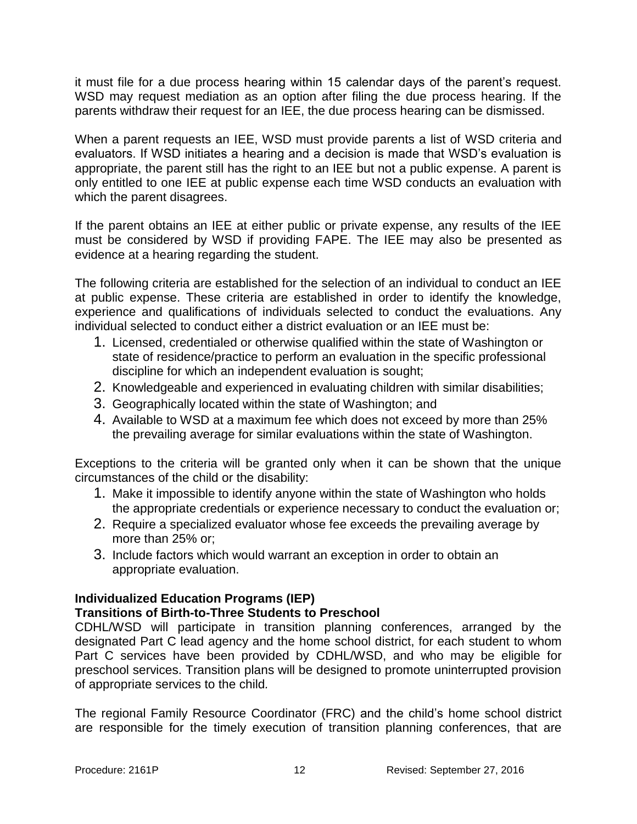it must file for a due process hearing within 15 calendar days of the parent's request. WSD may request mediation as an option after filing the due process hearing. If the parents withdraw their request for an IEE, the due process hearing can be dismissed.

When a parent requests an IEE, WSD must provide parents a list of WSD criteria and evaluators. If WSD initiates a hearing and a decision is made that WSD's evaluation is appropriate, the parent still has the right to an IEE but not a public expense. A parent is only entitled to one IEE at public expense each time WSD conducts an evaluation with which the parent disagrees.

If the parent obtains an IEE at either public or private expense, any results of the IEE must be considered by WSD if providing FAPE. The IEE may also be presented as evidence at a hearing regarding the student.

The following criteria are established for the selection of an individual to conduct an IEE at public expense. These criteria are established in order to identify the knowledge, experience and qualifications of individuals selected to conduct the evaluations. Any individual selected to conduct either a district evaluation or an IEE must be:

- 1. Licensed, credentialed or otherwise qualified within the state of Washington or state of residence/practice to perform an evaluation in the specific professional discipline for which an independent evaluation is sought;
- 2. Knowledgeable and experienced in evaluating children with similar disabilities;
- 3. Geographically located within the state of Washington; and
- 4. Available to WSD at a maximum fee which does not exceed by more than 25% the prevailing average for similar evaluations within the state of Washington.

Exceptions to the criteria will be granted only when it can be shown that the unique circumstances of the child or the disability:

- 1. Make it impossible to identify anyone within the state of Washington who holds the appropriate credentials or experience necessary to conduct the evaluation or;
- 2. Require a specialized evaluator whose fee exceeds the prevailing average by more than 25% or;
- 3. Include factors which would warrant an exception in order to obtain an appropriate evaluation.

## **Individualized Education Programs (IEP)**

## **Transitions of Birth-to-Three Students to Preschool**

CDHL/WSD will participate in transition planning conferences, arranged by the designated Part C lead agency and the home school district, for each student to whom Part C services have been provided by CDHL/WSD, and who may be eligible for preschool services. Transition plans will be designed to promote uninterrupted provision of appropriate services to the child*.* 

The regional Family Resource Coordinator (FRC) and the child's home school district are responsible for the timely execution of transition planning conferences, that are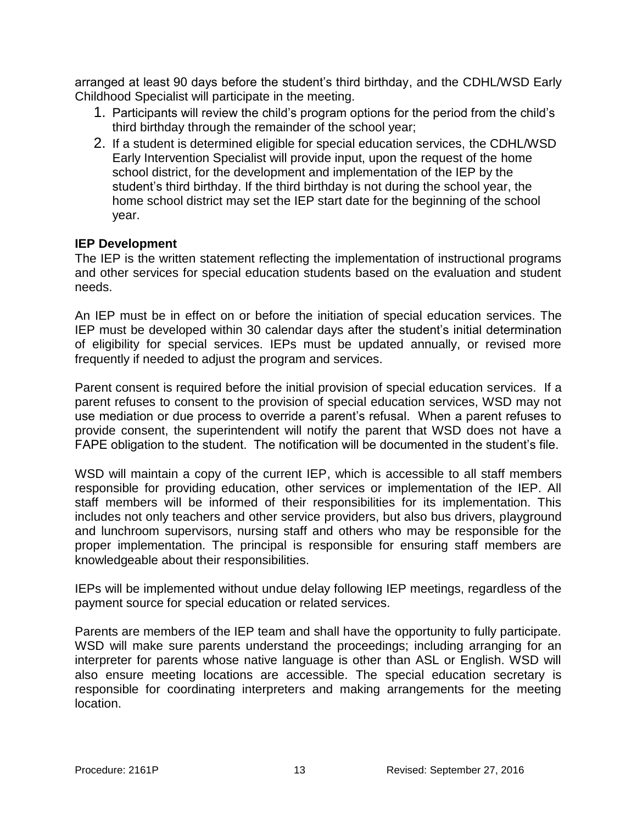arranged at least 90 days before the student's third birthday, and the CDHL/WSD Early Childhood Specialist will participate in the meeting.

- 1. Participants will review the child's program options for the period from the child's third birthday through the remainder of the school year;
- 2. If a student is determined eligible for special education services, the CDHL/WSD Early Intervention Specialist will provide input, upon the request of the home school district, for the development and implementation of the IEP by the student's third birthday. If the third birthday is not during the school year, the home school district may set the IEP start date for the beginning of the school year.

#### **IEP Development**

The IEP is the written statement reflecting the implementation of instructional programs and other services for special education students based on the evaluation and student needs.

An IEP must be in effect on or before the initiation of special education services. The IEP must be developed within 30 calendar days after the student's initial determination of eligibility for special services. IEPs must be updated annually, or revised more frequently if needed to adjust the program and services.

Parent consent is required before the initial provision of special education services. If a parent refuses to consent to the provision of special education services, WSD may not use mediation or due process to override a parent's refusal. When a parent refuses to provide consent, the superintendent will notify the parent that WSD does not have a FAPE obligation to the student. The notification will be documented in the student's file.

WSD will maintain a copy of the current IEP, which is accessible to all staff members responsible for providing education, other services or implementation of the IEP. All staff members will be informed of their responsibilities for its implementation. This includes not only teachers and other service providers, but also bus drivers, playground and lunchroom supervisors, nursing staff and others who may be responsible for the proper implementation. The principal is responsible for ensuring staff members are knowledgeable about their responsibilities.

IEPs will be implemented without undue delay following IEP meetings, regardless of the payment source for special education or related services.

Parents are members of the IEP team and shall have the opportunity to fully participate. WSD will make sure parents understand the proceedings; including arranging for an interpreter for parents whose native language is other than ASL or English. WSD will also ensure meeting locations are accessible. The special education secretary is responsible for coordinating interpreters and making arrangements for the meeting location.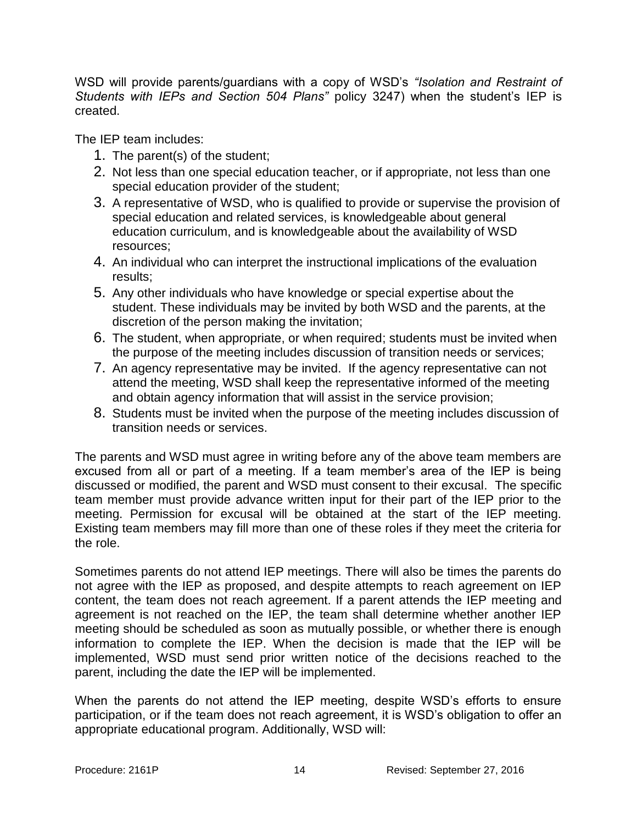WSD will provide parents/guardians with a copy of WSD's *"Isolation and Restraint of Students with IEPs and Section 504 Plans"* policy 3247) when the student's IEP is created.

The IEP team includes:

- 1. The parent(s) of the student;
- 2. Not less than one special education teacher, or if appropriate, not less than one special education provider of the student;
- 3. A representative of WSD, who is qualified to provide or supervise the provision of special education and related services, is knowledgeable about general education curriculum, and is knowledgeable about the availability of WSD resources;
- 4. An individual who can interpret the instructional implications of the evaluation results;
- 5. Any other individuals who have knowledge or special expertise about the student. These individuals may be invited by both WSD and the parents, at the discretion of the person making the invitation;
- 6. The student, when appropriate, or when required; students must be invited when the purpose of the meeting includes discussion of transition needs or services;
- 7. An agency representative may be invited. If the agency representative can not attend the meeting, WSD shall keep the representative informed of the meeting and obtain agency information that will assist in the service provision;
- 8. Students must be invited when the purpose of the meeting includes discussion of transition needs or services.

The parents and WSD must agree in writing before any of the above team members are excused from all or part of a meeting. If a team member's area of the IEP is being discussed or modified, the parent and WSD must consent to their excusal. The specific team member must provide advance written input for their part of the IEP prior to the meeting. Permission for excusal will be obtained at the start of the IEP meeting. Existing team members may fill more than one of these roles if they meet the criteria for the role.

Sometimes parents do not attend IEP meetings. There will also be times the parents do not agree with the IEP as proposed, and despite attempts to reach agreement on IEP content, the team does not reach agreement. If a parent attends the IEP meeting and agreement is not reached on the IEP, the team shall determine whether another IEP meeting should be scheduled as soon as mutually possible, or whether there is enough information to complete the IEP. When the decision is made that the IEP will be implemented, WSD must send prior written notice of the decisions reached to the parent, including the date the IEP will be implemented.

When the parents do not attend the IEP meeting, despite WSD's efforts to ensure participation, or if the team does not reach agreement, it is WSD's obligation to offer an appropriate educational program. Additionally, WSD will: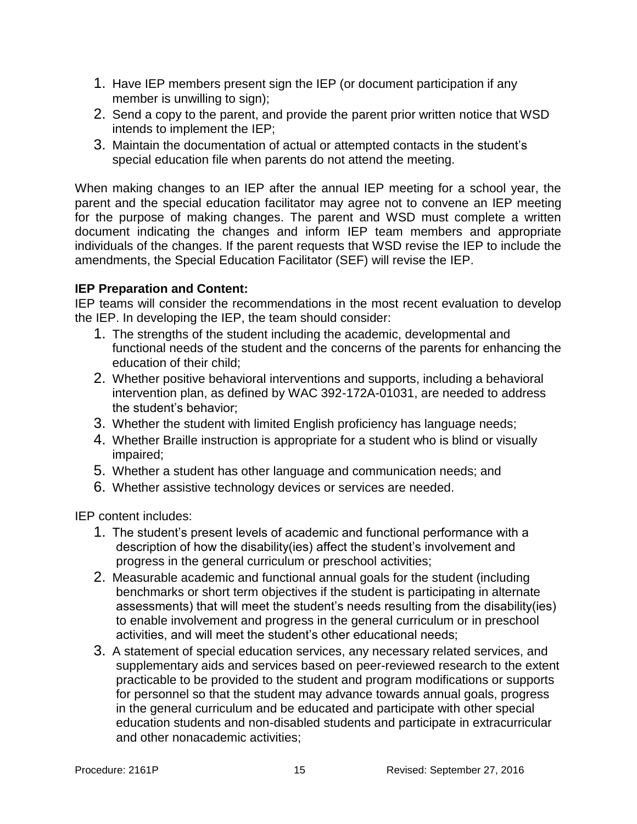- 1. Have IEP members present sign the IEP (or document participation if any member is unwilling to sign);
- 2. Send a copy to the parent, and provide the parent prior written notice that WSD intends to implement the IEP;
- 3. Maintain the documentation of actual or attempted contacts in the student's special education file when parents do not attend the meeting.

When making changes to an IEP after the annual IEP meeting for a school year, the parent and the special education facilitator may agree not to convene an IEP meeting for the purpose of making changes. The parent and WSD must complete a written document indicating the changes and inform IEP team members and appropriate individuals of the changes. If the parent requests that WSD revise the IEP to include the amendments, the Special Education Facilitator (SEF) will revise the IEP.

## **IEP Preparation and Content:**

IEP teams will consider the recommendations in the most recent evaluation to develop the IEP. In developing the IEP, the team should consider:

- 1. The strengths of the student including the academic, developmental and functional needs of the student and the concerns of the parents for enhancing the education of their child;
- 2. Whether positive behavioral interventions and supports, including a behavioral intervention plan, as defined by WAC 392-172A-01031, are needed to address the student's behavior;
- 3. Whether the student with limited English proficiency has language needs;
- 4. Whether Braille instruction is appropriate for a student who is blind or visually impaired;
- 5. Whether a student has other language and communication needs; and
- 6. Whether assistive technology devices or services are needed.

IEP content includes:

- 1. The student's present levels of academic and functional performance with a description of how the disability(ies) affect the student's involvement and progress in the general curriculum or preschool activities;
- 2. Measurable academic and functional annual goals for the student (including benchmarks or short term objectives if the student is participating in alternate assessments) that will meet the student's needs resulting from the disability(ies) to enable involvement and progress in the general curriculum or in preschool activities, and will meet the student's other educational needs;
- 3. A statement of special education services, any necessary related services, and supplementary aids and services based on peer-reviewed research to the extent practicable to be provided to the student and program modifications or supports for personnel so that the student may advance towards annual goals, progress in the general curriculum and be educated and participate with other special education students and non-disabled students and participate in extracurricular and other nonacademic activities;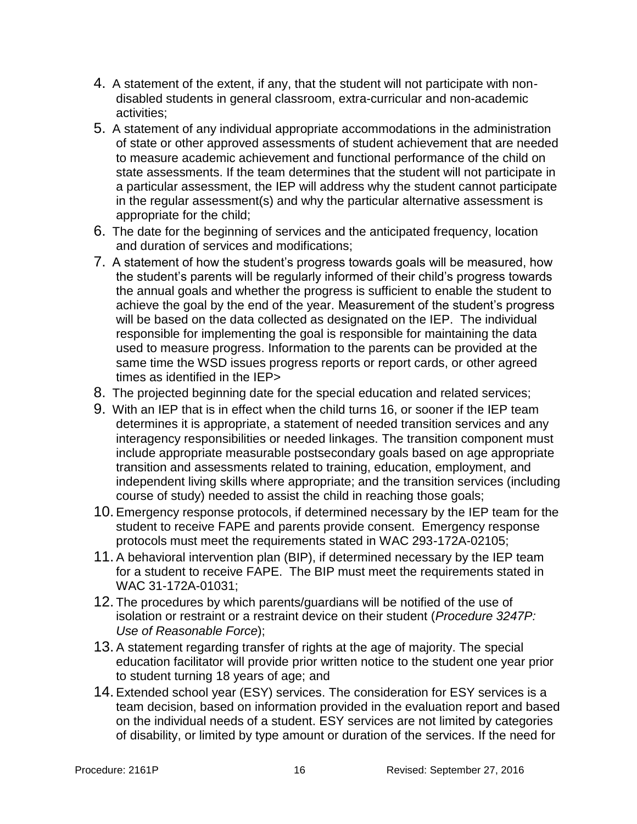- 4. A statement of the extent, if any, that the student will not participate with nondisabled students in general classroom, extra-curricular and non-academic activities;
- 5. A statement of any individual appropriate accommodations in the administration of state or other approved assessments of student achievement that are needed to measure academic achievement and functional performance of the child on state assessments. If the team determines that the student will not participate in a particular assessment, the IEP will address why the student cannot participate in the regular assessment(s) and why the particular alternative assessment is appropriate for the child;
- 6. The date for the beginning of services and the anticipated frequency, location and duration of services and modifications;
- 7. A statement of how the student's progress towards goals will be measured, how the student's parents will be regularly informed of their child's progress towards the annual goals and whether the progress is sufficient to enable the student to achieve the goal by the end of the year. Measurement of the student's progress will be based on the data collected as designated on the IEP. The individual responsible for implementing the goal is responsible for maintaining the data used to measure progress. Information to the parents can be provided at the same time the WSD issues progress reports or report cards, or other agreed times as identified in the IEP>
- 8. The projected beginning date for the special education and related services;
- 9. With an IEP that is in effect when the child turns 16, or sooner if the IEP team determines it is appropriate, a statement of needed transition services and any interagency responsibilities or needed linkages. The transition component must include appropriate measurable postsecondary goals based on age appropriate transition and assessments related to training, education, employment, and independent living skills where appropriate; and the transition services (including course of study) needed to assist the child in reaching those goals;
- 10. Emergency response protocols, if determined necessary by the IEP team for the student to receive FAPE and parents provide consent. Emergency response protocols must meet the requirements stated in WAC 293-172A-02105;
- 11. A behavioral intervention plan (BIP), if determined necessary by the IEP team for a student to receive FAPE. The BIP must meet the requirements stated in WAC 31-172A-01031;
- 12. The procedures by which parents/guardians will be notified of the use of isolation or restraint or a restraint device on their student (*Procedure 3247P: Use of Reasonable Force*);
- 13. A statement regarding transfer of rights at the age of majority. The special education facilitator will provide prior written notice to the student one year prior to student turning 18 years of age; and
- 14. Extended school year (ESY) services. The consideration for ESY services is a team decision, based on information provided in the evaluation report and based on the individual needs of a student. ESY services are not limited by categories of disability, or limited by type amount or duration of the services. If the need for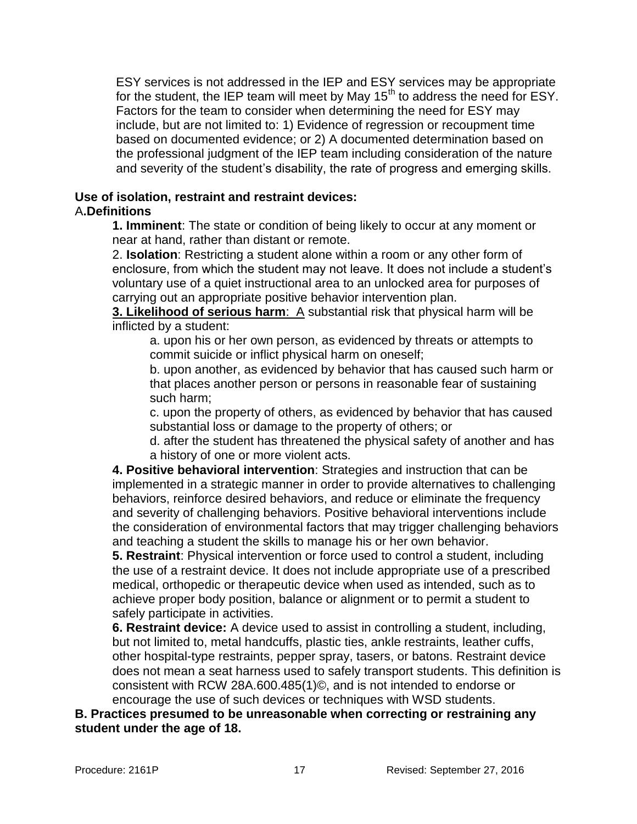ESY services is not addressed in the IEP and ESY services may be appropriate for the student, the IEP team will meet by May  $15<sup>th</sup>$  to address the need for ESY. Factors for the team to consider when determining the need for ESY may include, but are not limited to: 1) Evidence of regression or recoupment time based on documented evidence; or 2) A documented determination based on the professional judgment of the IEP team including consideration of the nature and severity of the student's disability, the rate of progress and emerging skills.

#### **Use of isolation, restraint and restraint devices:** A**.Definitions**

**1. Imminent**: The state or condition of being likely to occur at any moment or near at hand, rather than distant or remote.

2. **Isolation**: Restricting a student alone within a room or any other form of enclosure, from which the student may not leave. It does not include a student's voluntary use of a quiet instructional area to an unlocked area for purposes of carrying out an appropriate positive behavior intervention plan.

**3. Likelihood of serious harm**: A substantial risk that physical harm will be inflicted by a student:

a. upon his or her own person, as evidenced by threats or attempts to commit suicide or inflict physical harm on oneself;

b. upon another, as evidenced by behavior that has caused such harm or that places another person or persons in reasonable fear of sustaining such harm;

c. upon the property of others, as evidenced by behavior that has caused substantial loss or damage to the property of others; or

d. after the student has threatened the physical safety of another and has a history of one or more violent acts.

**4. Positive behavioral intervention**: Strategies and instruction that can be implemented in a strategic manner in order to provide alternatives to challenging behaviors, reinforce desired behaviors, and reduce or eliminate the frequency and severity of challenging behaviors. Positive behavioral interventions include the consideration of environmental factors that may trigger challenging behaviors and teaching a student the skills to manage his or her own behavior.

**5. Restraint**: Physical intervention or force used to control a student, including the use of a restraint device. It does not include appropriate use of a prescribed medical, orthopedic or therapeutic device when used as intended, such as to achieve proper body position, balance or alignment or to permit a student to safely participate in activities.

**6. Restraint device:** A device used to assist in controlling a student, including, but not limited to, metal handcuffs, plastic ties, ankle restraints, leather cuffs, other hospital-type restraints, pepper spray, tasers, or batons. Restraint device does not mean a seat harness used to safely transport students. This definition is consistent with RCW 28A.600.485(1)©, and is not intended to endorse or encourage the use of such devices or techniques with WSD students.

**B. Practices presumed to be unreasonable when correcting or restraining any student under the age of 18.**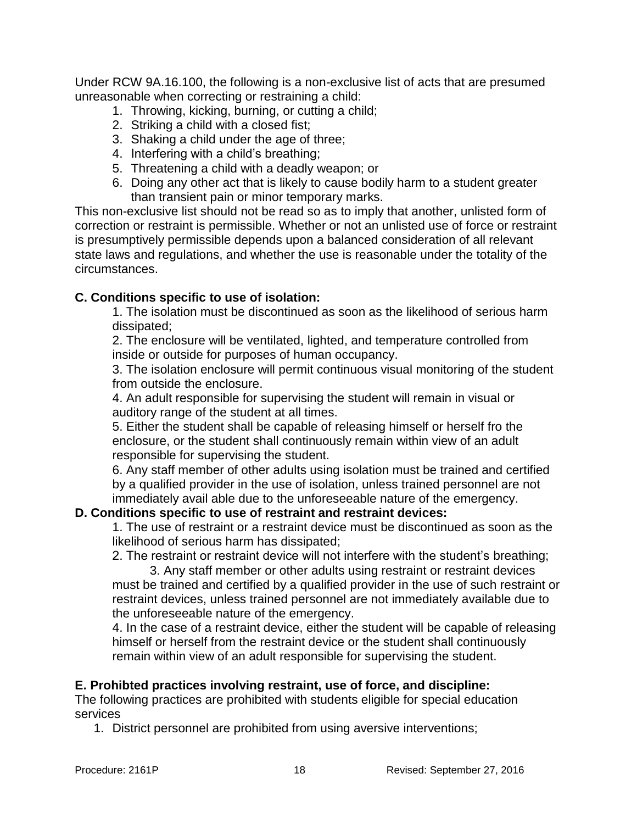Under RCW 9A.16.100, the following is a non-exclusive list of acts that are presumed unreasonable when correcting or restraining a child:

- 1. Throwing, kicking, burning, or cutting a child;
- 2. Striking a child with a closed fist;
- 3. Shaking a child under the age of three;
- 4. Interfering with a child's breathing;
- 5. Threatening a child with a deadly weapon; or
- 6. Doing any other act that is likely to cause bodily harm to a student greater than transient pain or minor temporary marks.

This non-exclusive list should not be read so as to imply that another, unlisted form of correction or restraint is permissible. Whether or not an unlisted use of force or restraint is presumptively permissible depends upon a balanced consideration of all relevant state laws and regulations, and whether the use is reasonable under the totality of the circumstances.

## **C. Conditions specific to use of isolation:**

1. The isolation must be discontinued as soon as the likelihood of serious harm dissipated;

2. The enclosure will be ventilated, lighted, and temperature controlled from inside or outside for purposes of human occupancy.

3. The isolation enclosure will permit continuous visual monitoring of the student from outside the enclosure.

4. An adult responsible for supervising the student will remain in visual or auditory range of the student at all times.

5. Either the student shall be capable of releasing himself or herself fro the enclosure, or the student shall continuously remain within view of an adult responsible for supervising the student.

6. Any staff member of other adults using isolation must be trained and certified by a qualified provider in the use of isolation, unless trained personnel are not immediately avail able due to the unforeseeable nature of the emergency.

## **D. Conditions specific to use of restraint and restraint devices:**

1. The use of restraint or a restraint device must be discontinued as soon as the likelihood of serious harm has dissipated;

2. The restraint or restraint device will not interfere with the student's breathing;

3. Any staff member or other adults using restraint or restraint devices must be trained and certified by a qualified provider in the use of such restraint or restraint devices, unless trained personnel are not immediately available due to the unforeseeable nature of the emergency.

4. In the case of a restraint device, either the student will be capable of releasing himself or herself from the restraint device or the student shall continuously remain within view of an adult responsible for supervising the student.

## **E. Prohibted practices involving restraint, use of force, and discipline:**

The following practices are prohibited with students eligible for special education services

1. District personnel are prohibited from using aversive interventions;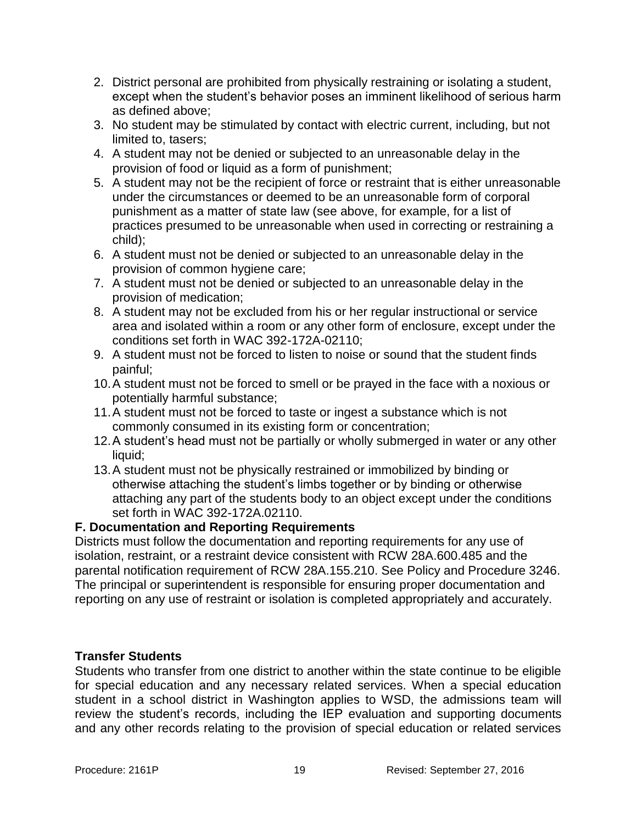- 2. District personal are prohibited from physically restraining or isolating a student, except when the student's behavior poses an imminent likelihood of serious harm as defined above;
- 3. No student may be stimulated by contact with electric current, including, but not limited to, tasers;
- 4. A student may not be denied or subjected to an unreasonable delay in the provision of food or liquid as a form of punishment;
- 5. A student may not be the recipient of force or restraint that is either unreasonable under the circumstances or deemed to be an unreasonable form of corporal punishment as a matter of state law (see above, for example, for a list of practices presumed to be unreasonable when used in correcting or restraining a child);
- 6. A student must not be denied or subjected to an unreasonable delay in the provision of common hygiene care;
- 7. A student must not be denied or subjected to an unreasonable delay in the provision of medication;
- 8. A student may not be excluded from his or her regular instructional or service area and isolated within a room or any other form of enclosure, except under the conditions set forth in WAC 392-172A-02110;
- 9. A student must not be forced to listen to noise or sound that the student finds painful;
- 10.A student must not be forced to smell or be prayed in the face with a noxious or potentially harmful substance;
- 11.A student must not be forced to taste or ingest a substance which is not commonly consumed in its existing form or concentration;
- 12.A student's head must not be partially or wholly submerged in water or any other liquid:
- 13.A student must not be physically restrained or immobilized by binding or otherwise attaching the student's limbs together or by binding or otherwise attaching any part of the students body to an object except under the conditions set forth in WAC 392-172A.02110.

## **F. Documentation and Reporting Requirements**

Districts must follow the documentation and reporting requirements for any use of isolation, restraint, or a restraint device consistent with RCW 28A.600.485 and the parental notification requirement of RCW 28A.155.210. See Policy and Procedure 3246. The principal or superintendent is responsible for ensuring proper documentation and reporting on any use of restraint or isolation is completed appropriately and accurately.

#### **Transfer Students**

Students who transfer from one district to another within the state continue to be eligible for special education and any necessary related services. When a special education student in a school district in Washington applies to WSD, the admissions team will review the student's records, including the IEP evaluation and supporting documents and any other records relating to the provision of special education or related services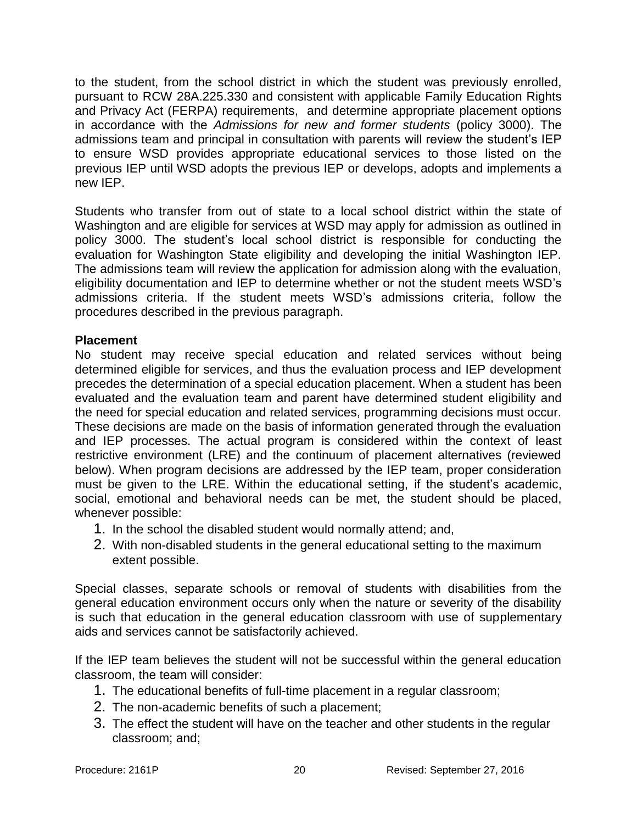to the student, from the school district in which the student was previously enrolled, pursuant to RCW 28A.225.330 and consistent with applicable Family Education Rights and Privacy Act (FERPA) requirements, and determine appropriate placement options in accordance with the *Admissions for new and former students* (policy 3000). The admissions team and principal in consultation with parents will review the student's IEP to ensure WSD provides appropriate educational services to those listed on the previous IEP until WSD adopts the previous IEP or develops, adopts and implements a new IEP.

Students who transfer from out of state to a local school district within the state of Washington and are eligible for services at WSD may apply for admission as outlined in policy 3000. The student's local school district is responsible for conducting the evaluation for Washington State eligibility and developing the initial Washington IEP. The admissions team will review the application for admission along with the evaluation, eligibility documentation and IEP to determine whether or not the student meets WSD's admissions criteria. If the student meets WSD's admissions criteria, follow the procedures described in the previous paragraph.

#### **Placement**

No student may receive special education and related services without being determined eligible for services, and thus the evaluation process and IEP development precedes the determination of a special education placement. When a student has been evaluated and the evaluation team and parent have determined student eligibility and the need for special education and related services, programming decisions must occur. These decisions are made on the basis of information generated through the evaluation and IEP processes. The actual program is considered within the context of least restrictive environment (LRE) and the continuum of placement alternatives (reviewed below). When program decisions are addressed by the IEP team, proper consideration must be given to the LRE. Within the educational setting, if the student's academic, social, emotional and behavioral needs can be met, the student should be placed, whenever possible:

- 1. In the school the disabled student would normally attend; and,
- 2. With non-disabled students in the general educational setting to the maximum extent possible.

Special classes, separate schools or removal of students with disabilities from the general education environment occurs only when the nature or severity of the disability is such that education in the general education classroom with use of supplementary aids and services cannot be satisfactorily achieved.

If the IEP team believes the student will not be successful within the general education classroom, the team will consider:

- 1. The educational benefits of full-time placement in a regular classroom;
- 2. The non-academic benefits of such a placement;
- 3. The effect the student will have on the teacher and other students in the regular classroom; and;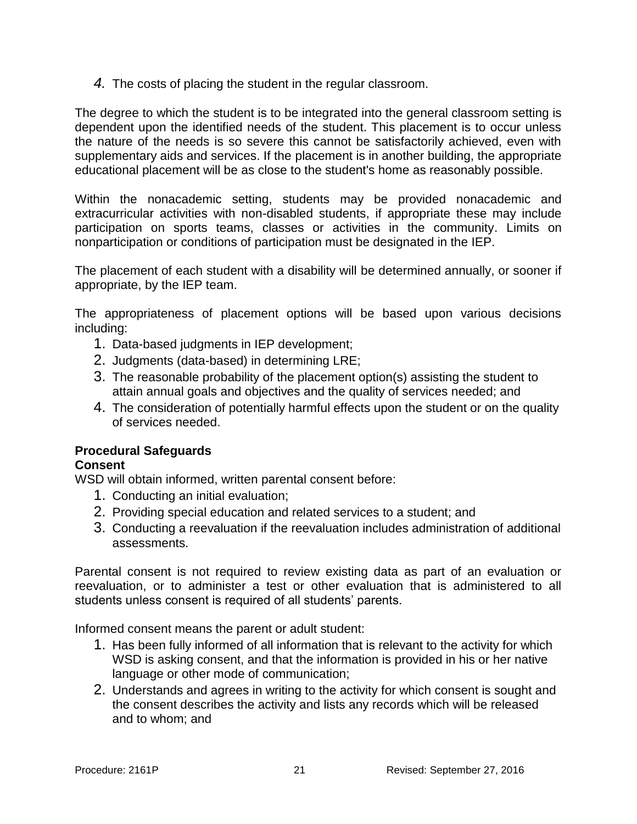*4.* The costs of placing the student in the regular classroom.

The degree to which the student is to be integrated into the general classroom setting is dependent upon the identified needs of the student. This placement is to occur unless the nature of the needs is so severe this cannot be satisfactorily achieved, even with supplementary aids and services. If the placement is in another building, the appropriate educational placement will be as close to the student's home as reasonably possible.

Within the nonacademic setting, students may be provided nonacademic and extracurricular activities with non-disabled students, if appropriate these may include participation on sports teams, classes or activities in the community. Limits on nonparticipation or conditions of participation must be designated in the IEP.

The placement of each student with a disability will be determined annually, or sooner if appropriate, by the IEP team.

The appropriateness of placement options will be based upon various decisions including:

- 1. Data-based judgments in IEP development;
- 2. Judgments (data-based) in determining LRE;
- 3. The reasonable probability of the placement option(s) assisting the student to attain annual goals and objectives and the quality of services needed; and
- 4. The consideration of potentially harmful effects upon the student or on the quality of services needed.

## **Procedural Safeguards**

## **Consent**

WSD will obtain informed, written parental consent before:

- 1. Conducting an initial evaluation;
- 2. Providing special education and related services to a student; and
- 3. Conducting a reevaluation if the reevaluation includes administration of additional assessments.

Parental consent is not required to review existing data as part of an evaluation or reevaluation, or to administer a test or other evaluation that is administered to all students unless consent is required of all students' parents.

Informed consent means the parent or adult student:

- 1. Has been fully informed of all information that is relevant to the activity for which WSD is asking consent, and that the information is provided in his or her native language or other mode of communication;
- 2. Understands and agrees in writing to the activity for which consent is sought and the consent describes the activity and lists any records which will be released and to whom; and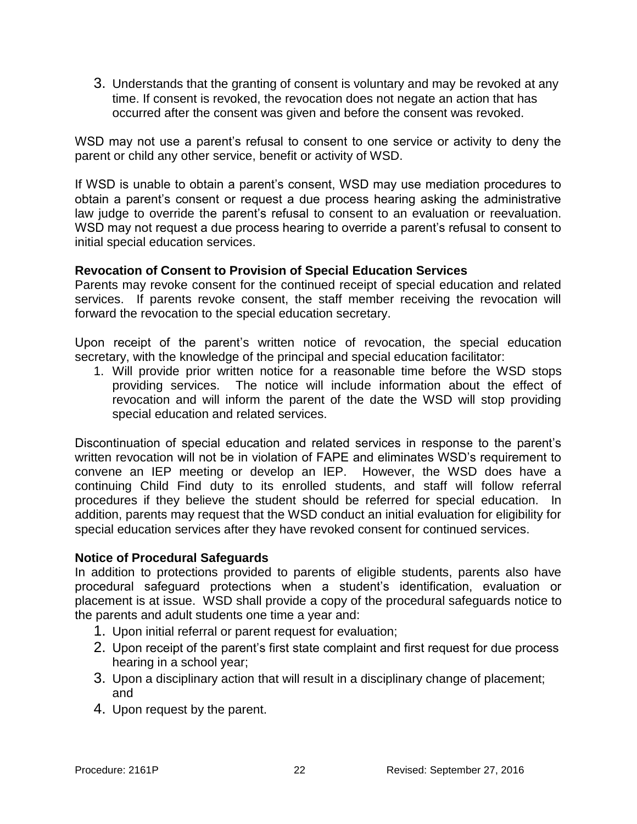3. Understands that the granting of consent is voluntary and may be revoked at any time. If consent is revoked, the revocation does not negate an action that has occurred after the consent was given and before the consent was revoked.

WSD may not use a parent's refusal to consent to one service or activity to deny the parent or child any other service, benefit or activity of WSD.

If WSD is unable to obtain a parent's consent, WSD may use mediation procedures to obtain a parent's consent or request a due process hearing asking the administrative law judge to override the parent's refusal to consent to an evaluation or reevaluation. WSD may not request a due process hearing to override a parent's refusal to consent to initial special education services.

#### **Revocation of Consent to Provision of Special Education Services**

Parents may revoke consent for the continued receipt of special education and related services. If parents revoke consent, the staff member receiving the revocation will forward the revocation to the special education secretary.

Upon receipt of the parent's written notice of revocation, the special education secretary, with the knowledge of the principal and special education facilitator:

1. Will provide prior written notice for a reasonable time before the WSD stops providing services. The notice will include information about the effect of revocation and will inform the parent of the date the WSD will stop providing special education and related services.

Discontinuation of special education and related services in response to the parent's written revocation will not be in violation of FAPE and eliminates WSD's requirement to convene an IEP meeting or develop an IEP. However, the WSD does have a continuing Child Find duty to its enrolled students, and staff will follow referral procedures if they believe the student should be referred for special education. In addition, parents may request that the WSD conduct an initial evaluation for eligibility for special education services after they have revoked consent for continued services.

#### **Notice of Procedural Safeguards**

In addition to protections provided to parents of eligible students, parents also have procedural safeguard protections when a student's identification, evaluation or placement is at issue. WSD shall provide a copy of the procedural safeguards notice to the parents and adult students one time a year and:

- 1. Upon initial referral or parent request for evaluation;
- 2. Upon receipt of the parent's first state complaint and first request for due process hearing in a school year;
- 3. Upon a disciplinary action that will result in a disciplinary change of placement; and
- 4. Upon request by the parent.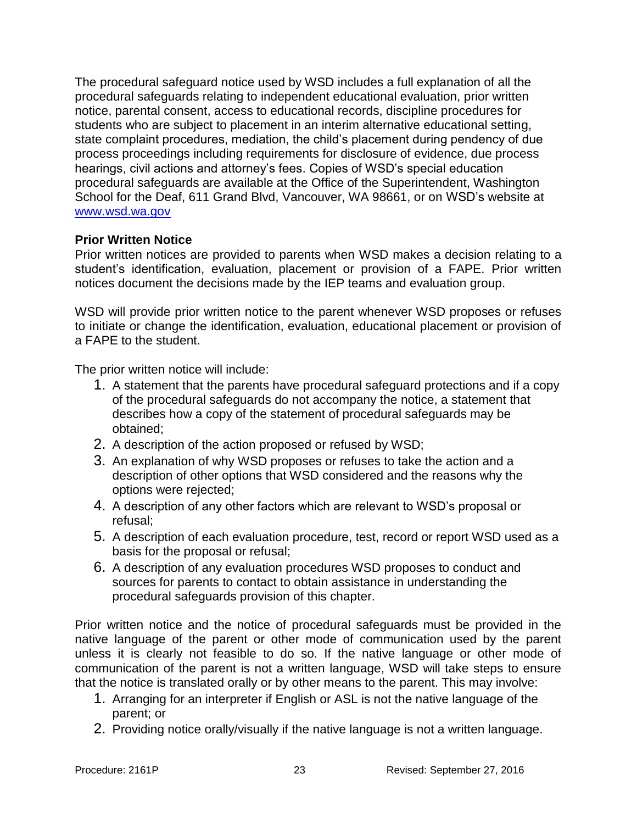The procedural safeguard notice used by WSD includes a full explanation of all the procedural safeguards relating to independent educational evaluation, prior written notice, parental consent, access to educational records, discipline procedures for students who are subject to placement in an interim alternative educational setting, state complaint procedures, mediation, the child's placement during pendency of due process proceedings including requirements for disclosure of evidence, due process hearings, civil actions and attorney's fees. Copies of WSD's special education procedural safeguards are available at the Office of the Superintendent, Washington School for the Deaf, 611 Grand Blvd, Vancouver, WA 98661, or on WSD's website at [www.wsd.wa.gov](http://www.wsd.wa.gov/) 

#### **Prior Written Notice**

Prior written notices are provided to parents when WSD makes a decision relating to a student's identification, evaluation, placement or provision of a FAPE. Prior written notices document the decisions made by the IEP teams and evaluation group.

WSD will provide prior written notice to the parent whenever WSD proposes or refuses to initiate or change the identification, evaluation, educational placement or provision of a FAPE to the student.

The prior written notice will include:

- 1. A statement that the parents have procedural safeguard protections and if a copy of the procedural safeguards do not accompany the notice, a statement that describes how a copy of the statement of procedural safeguards may be obtained;
- 2. A description of the action proposed or refused by WSD;
- 3. An explanation of why WSD proposes or refuses to take the action and a description of other options that WSD considered and the reasons why the options were rejected;
- 4. A description of any other factors which are relevant to WSD's proposal or refusal;
- 5. A description of each evaluation procedure, test, record or report WSD used as a basis for the proposal or refusal;
- 6. A description of any evaluation procedures WSD proposes to conduct and sources for parents to contact to obtain assistance in understanding the procedural safeguards provision of this chapter.

Prior written notice and the notice of procedural safeguards must be provided in the native language of the parent or other mode of communication used by the parent unless it is clearly not feasible to do so. If the native language or other mode of communication of the parent is not a written language, WSD will take steps to ensure that the notice is translated orally or by other means to the parent. This may involve:

- 1. Arranging for an interpreter if English or ASL is not the native language of the parent; or
- 2. Providing notice orally/visually if the native language is not a written language.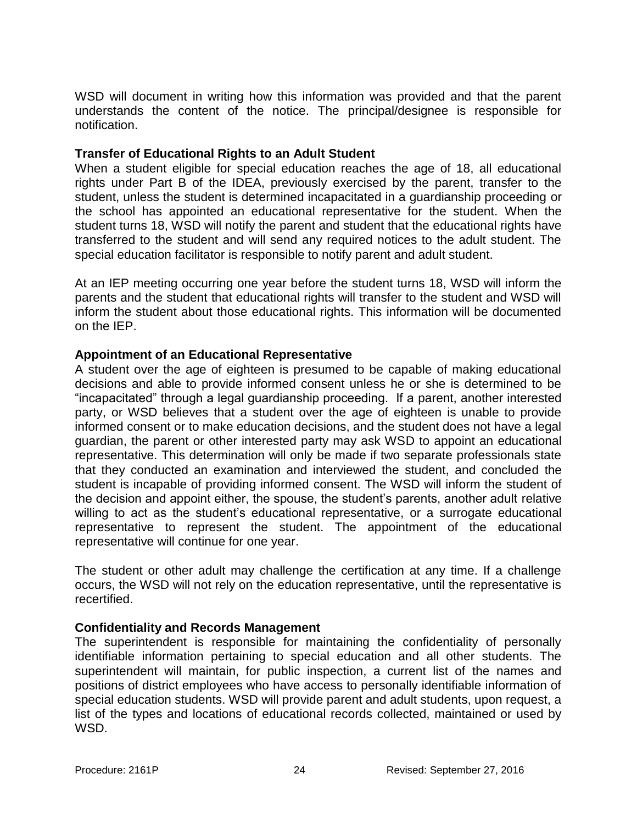WSD will document in writing how this information was provided and that the parent understands the content of the notice. The principal/designee is responsible for notification.

#### **Transfer of Educational Rights to an Adult Student**

When a student eligible for special education reaches the age of 18, all educational rights under Part B of the IDEA, previously exercised by the parent, transfer to the student, unless the student is determined incapacitated in a guardianship proceeding or the school has appointed an educational representative for the student. When the student turns 18, WSD will notify the parent and student that the educational rights have transferred to the student and will send any required notices to the adult student. The special education facilitator is responsible to notify parent and adult student.

At an IEP meeting occurring one year before the student turns 18, WSD will inform the parents and the student that educational rights will transfer to the student and WSD will inform the student about those educational rights. This information will be documented on the IEP.

#### **Appointment of an Educational Representative**

A student over the age of eighteen is presumed to be capable of making educational decisions and able to provide informed consent unless he or she is determined to be "incapacitated" through a legal guardianship proceeding. If a parent, another interested party, or WSD believes that a student over the age of eighteen is unable to provide informed consent or to make education decisions, and the student does not have a legal guardian, the parent or other interested party may ask WSD to appoint an educational representative. This determination will only be made if two separate professionals state that they conducted an examination and interviewed the student, and concluded the student is incapable of providing informed consent. The WSD will inform the student of the decision and appoint either, the spouse, the student's parents, another adult relative willing to act as the student's educational representative, or a surrogate educational representative to represent the student. The appointment of the educational representative will continue for one year.

The student or other adult may challenge the certification at any time. If a challenge occurs, the WSD will not rely on the education representative, until the representative is recertified.

#### **Confidentiality and Records Management**

The superintendent is responsible for maintaining the confidentiality of personally identifiable information pertaining to special education and all other students. The superintendent will maintain, for public inspection, a current list of the names and positions of district employees who have access to personally identifiable information of special education students. WSD will provide parent and adult students, upon request, a list of the types and locations of educational records collected, maintained or used by WSD.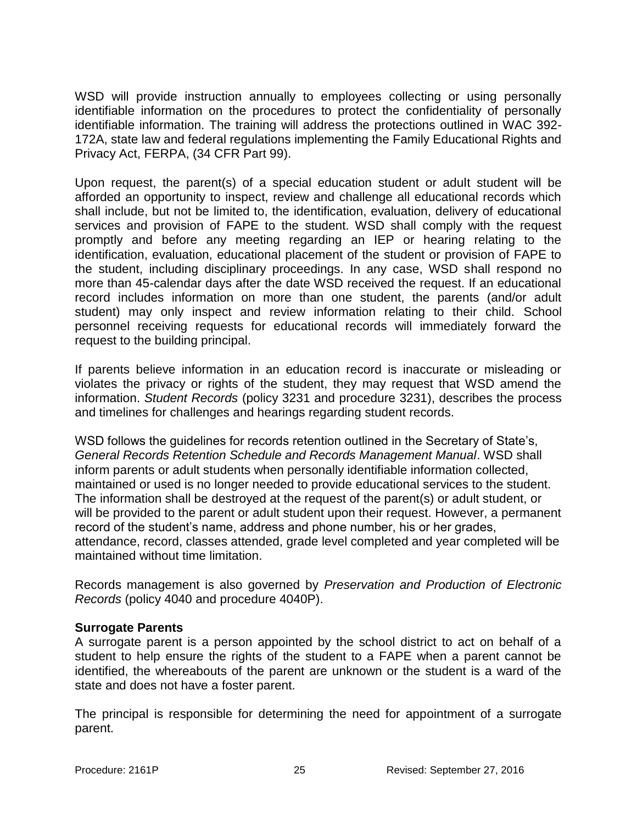WSD will provide instruction annually to employees collecting or using personally identifiable information on the procedures to protect the confidentiality of personally identifiable information. The training will address the protections outlined in WAC 392- 172A, state law and federal regulations implementing the Family Educational Rights and Privacy Act, FERPA, (34 CFR Part 99).

Upon request, the parent(s) of a special education student or adult student will be afforded an opportunity to inspect, review and challenge all educational records which shall include, but not be limited to, the identification, evaluation, delivery of educational services and provision of FAPE to the student. WSD shall comply with the request promptly and before any meeting regarding an IEP or hearing relating to the identification, evaluation, educational placement of the student or provision of FAPE to the student, including disciplinary proceedings. In any case, WSD shall respond no more than 45-calendar days after the date WSD received the request. If an educational record includes information on more than one student, the parents (and/or adult student) may only inspect and review information relating to their child. School personnel receiving requests for educational records will immediately forward the request to the building principal.

If parents believe information in an education record is inaccurate or misleading or violates the privacy or rights of the student, they may request that WSD amend the information. *Student Records* (policy 3231 and procedure 3231), describes the process and timelines for challenges and hearings regarding student records.

WSD follows the guidelines for records retention outlined in the Secretary of State's, *General Records Retention Schedule and Records Management Manual*. WSD shall inform parents or adult students when personally identifiable information collected, maintained or used is no longer needed to provide educational services to the student. The information shall be destroyed at the request of the parent(s) or adult student, or will be provided to the parent or adult student upon their request. However, a permanent record of the student's name, address and phone number, his or her grades, attendance, record, classes attended, grade level completed and year completed will be maintained without time limitation.

Records management is also governed by *Preservation and Production of Electronic Records* (policy 4040 and procedure 4040P).

#### **Surrogate Parents**

A surrogate parent is a person appointed by the school district to act on behalf of a student to help ensure the rights of the student to a FAPE when a parent cannot be identified, the whereabouts of the parent are unknown or the student is a ward of the state and does not have a foster parent.

The principal is responsible for determining the need for appointment of a surrogate parent.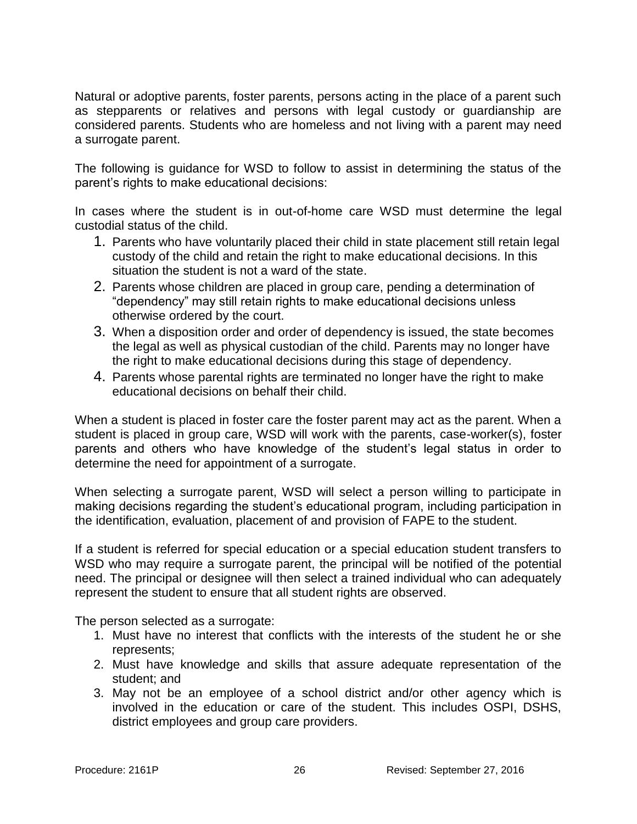Natural or adoptive parents, foster parents, persons acting in the place of a parent such as stepparents or relatives and persons with legal custody or guardianship are considered parents. Students who are homeless and not living with a parent may need a surrogate parent.

The following is guidance for WSD to follow to assist in determining the status of the parent's rights to make educational decisions:

In cases where the student is in out-of-home care WSD must determine the legal custodial status of the child.

- 1. Parents who have voluntarily placed their child in state placement still retain legal custody of the child and retain the right to make educational decisions. In this situation the student is not a ward of the state.
- 2. Parents whose children are placed in group care, pending a determination of "dependency" may still retain rights to make educational decisions unless otherwise ordered by the court.
- 3. When a disposition order and order of dependency is issued, the state becomes the legal as well as physical custodian of the child. Parents may no longer have the right to make educational decisions during this stage of dependency.
- 4. Parents whose parental rights are terminated no longer have the right to make educational decisions on behalf their child.

When a student is placed in foster care the foster parent may act as the parent. When a student is placed in group care, WSD will work with the parents, case-worker(s), foster parents and others who have knowledge of the student's legal status in order to determine the need for appointment of a surrogate.

When selecting a surrogate parent, WSD will select a person willing to participate in making decisions regarding the student's educational program, including participation in the identification, evaluation, placement of and provision of FAPE to the student.

If a student is referred for special education or a special education student transfers to WSD who may require a surrogate parent, the principal will be notified of the potential need. The principal or designee will then select a trained individual who can adequately represent the student to ensure that all student rights are observed.

The person selected as a surrogate:

- 1. Must have no interest that conflicts with the interests of the student he or she represents;
- 2. Must have knowledge and skills that assure adequate representation of the student; and
- 3. May not be an employee of a school district and/or other agency which is involved in the education or care of the student. This includes OSPI, DSHS, district employees and group care providers.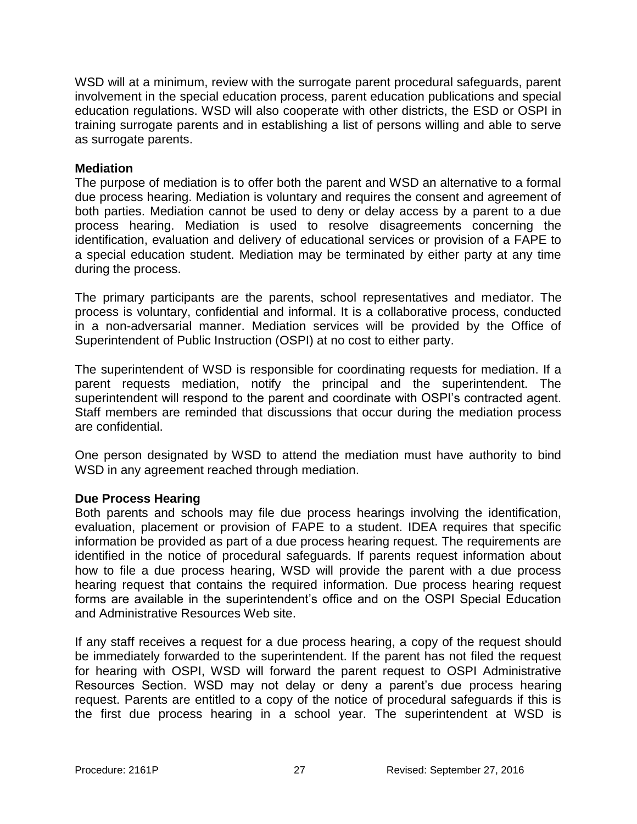WSD will at a minimum, review with the surrogate parent procedural safeguards, parent involvement in the special education process, parent education publications and special education regulations. WSD will also cooperate with other districts, the ESD or OSPI in training surrogate parents and in establishing a list of persons willing and able to serve as surrogate parents.

#### **Mediation**

The purpose of mediation is to offer both the parent and WSD an alternative to a formal due process hearing. Mediation is voluntary and requires the consent and agreement of both parties. Mediation cannot be used to deny or delay access by a parent to a due process hearing. Mediation is used to resolve disagreements concerning the identification, evaluation and delivery of educational services or provision of a FAPE to a special education student. Mediation may be terminated by either party at any time during the process.

The primary participants are the parents, school representatives and mediator. The process is voluntary, confidential and informal. It is a collaborative process, conducted in a non-adversarial manner. Mediation services will be provided by the Office of Superintendent of Public Instruction (OSPI) at no cost to either party.

The superintendent of WSD is responsible for coordinating requests for mediation. If a parent requests mediation, notify the principal and the superintendent. The superintendent will respond to the parent and coordinate with OSPI's contracted agent. Staff members are reminded that discussions that occur during the mediation process are confidential.

One person designated by WSD to attend the mediation must have authority to bind WSD in any agreement reached through mediation.

#### **Due Process Hearing**

Both parents and schools may file due process hearings involving the identification, evaluation, placement or provision of FAPE to a student. IDEA requires that specific information be provided as part of a due process hearing request. The requirements are identified in the notice of procedural safeguards. If parents request information about how to file a due process hearing, WSD will provide the parent with a due process hearing request that contains the required information. Due process hearing request forms are available in the superintendent's office and on the OSPI Special Education and Administrative Resources Web site.

If any staff receives a request for a due process hearing, a copy of the request should be immediately forwarded to the superintendent. If the parent has not filed the request for hearing with OSPI, WSD will forward the parent request to OSPI Administrative Resources Section. WSD may not delay or deny a parent's due process hearing request. Parents are entitled to a copy of the notice of procedural safeguards if this is the first due process hearing in a school year. The superintendent at WSD is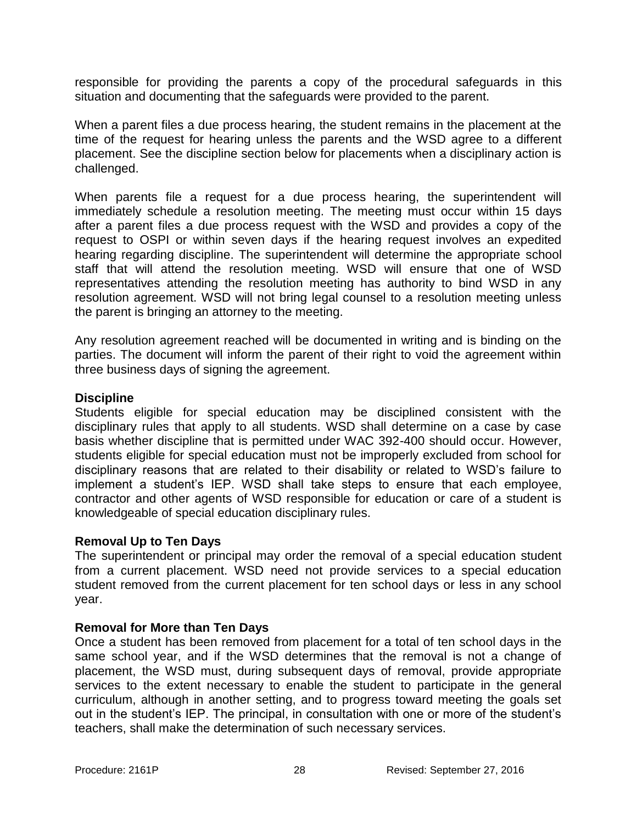responsible for providing the parents a copy of the procedural safeguards in this situation and documenting that the safeguards were provided to the parent.

When a parent files a due process hearing, the student remains in the placement at the time of the request for hearing unless the parents and the WSD agree to a different placement. See the discipline section below for placements when a disciplinary action is challenged.

When parents file a request for a due process hearing, the superintendent will immediately schedule a resolution meeting. The meeting must occur within 15 days after a parent files a due process request with the WSD and provides a copy of the request to OSPI or within seven days if the hearing request involves an expedited hearing regarding discipline. The superintendent will determine the appropriate school staff that will attend the resolution meeting. WSD will ensure that one of WSD representatives attending the resolution meeting has authority to bind WSD in any resolution agreement. WSD will not bring legal counsel to a resolution meeting unless the parent is bringing an attorney to the meeting.

Any resolution agreement reached will be documented in writing and is binding on the parties. The document will inform the parent of their right to void the agreement within three business days of signing the agreement.

#### **Discipline**

Students eligible for special education may be disciplined consistent with the disciplinary rules that apply to all students. WSD shall determine on a case by case basis whether discipline that is permitted under WAC 392-400 should occur. However, students eligible for special education must not be improperly excluded from school for disciplinary reasons that are related to their disability or related to WSD's failure to implement a student's IEP. WSD shall take steps to ensure that each employee, contractor and other agents of WSD responsible for education or care of a student is knowledgeable of special education disciplinary rules.

#### **Removal Up to Ten Days**

The superintendent or principal may order the removal of a special education student from a current placement. WSD need not provide services to a special education student removed from the current placement for ten school days or less in any school year.

#### **Removal for More than Ten Days**

Once a student has been removed from placement for a total of ten school days in the same school year, and if the WSD determines that the removal is not a change of placement, the WSD must, during subsequent days of removal, provide appropriate services to the extent necessary to enable the student to participate in the general curriculum, although in another setting, and to progress toward meeting the goals set out in the student's IEP. The principal, in consultation with one or more of the student's teachers, shall make the determination of such necessary services.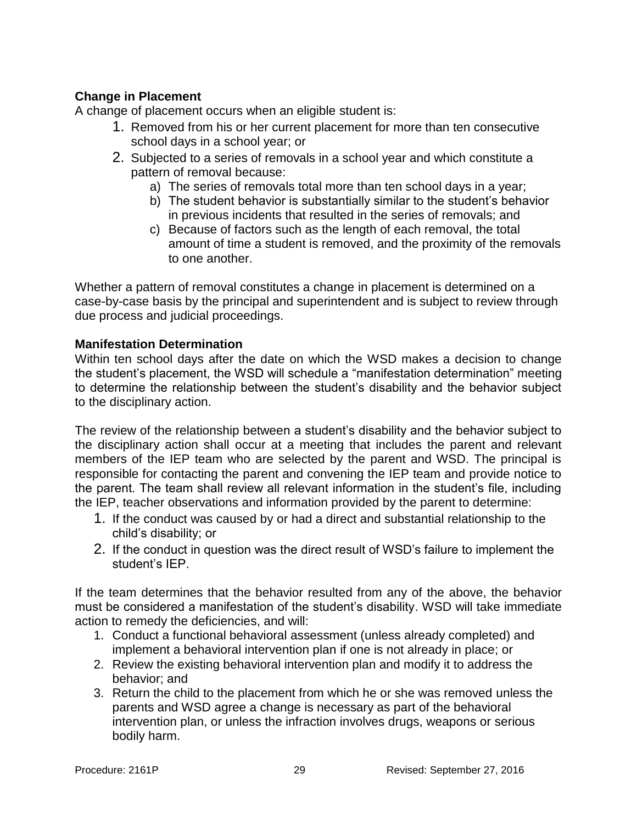## **Change in Placement**

A change of placement occurs when an eligible student is:

- 1. Removed from his or her current placement for more than ten consecutive school days in a school year; or
- 2. Subjected to a series of removals in a school year and which constitute a pattern of removal because:
	- a) The series of removals total more than ten school days in a year;
	- b) The student behavior is substantially similar to the student's behavior in previous incidents that resulted in the series of removals; and
	- c) Because of factors such as the length of each removal, the total amount of time a student is removed, and the proximity of the removals to one another.

Whether a pattern of removal constitutes a change in placement is determined on a case-by-case basis by the principal and superintendent and is subject to review through due process and judicial proceedings.

## **Manifestation Determination**

Within ten school days after the date on which the WSD makes a decision to change the student's placement, the WSD will schedule a "manifestation determination" meeting to determine the relationship between the student's disability and the behavior subject to the disciplinary action.

The review of the relationship between a student's disability and the behavior subject to the disciplinary action shall occur at a meeting that includes the parent and relevant members of the IEP team who are selected by the parent and WSD. The principal is responsible for contacting the parent and convening the IEP team and provide notice to the parent. The team shall review all relevant information in the student's file, including the IEP, teacher observations and information provided by the parent to determine:

- 1. If the conduct was caused by or had a direct and substantial relationship to the child's disability; or
- 2. If the conduct in question was the direct result of WSD's failure to implement the student's IEP.

If the team determines that the behavior resulted from any of the above, the behavior must be considered a manifestation of the student's disability. WSD will take immediate action to remedy the deficiencies, and will:

- 1. Conduct a functional behavioral assessment (unless already completed) and implement a behavioral intervention plan if one is not already in place; or
- 2. Review the existing behavioral intervention plan and modify it to address the behavior; and
- 3. Return the child to the placement from which he or she was removed unless the parents and WSD agree a change is necessary as part of the behavioral intervention plan, or unless the infraction involves drugs, weapons or serious bodily harm.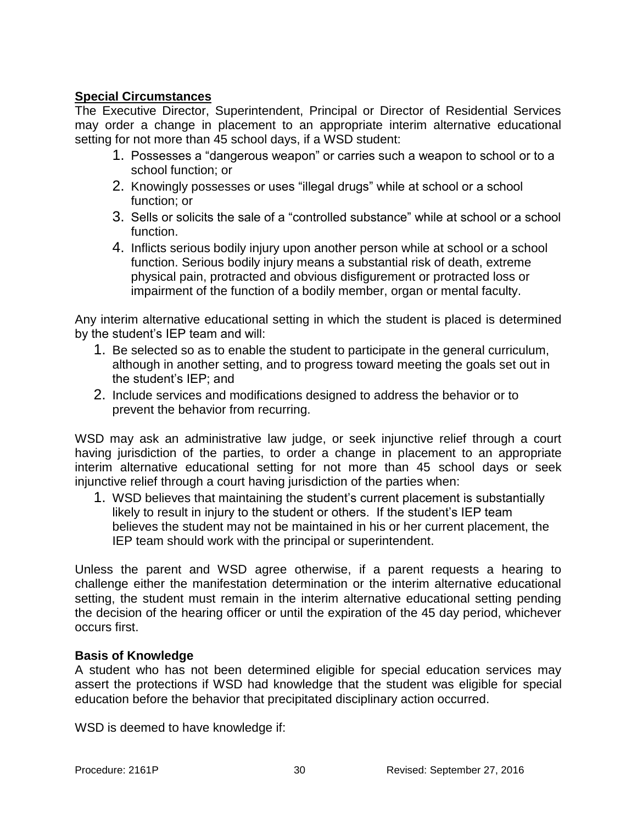## **Special Circumstances**

The Executive Director, Superintendent, Principal or Director of Residential Services may order a change in placement to an appropriate interim alternative educational setting for not more than 45 school days, if a WSD student:

- 1. Possesses a "dangerous weapon" or carries such a weapon to school or to a school function; or
- 2. Knowingly possesses or uses "illegal drugs" while at school or a school function; or
- 3. Sells or solicits the sale of a "controlled substance" while at school or a school function.
- 4. Inflicts serious bodily injury upon another person while at school or a school function. Serious bodily injury means a substantial risk of death, extreme physical pain, protracted and obvious disfigurement or protracted loss or impairment of the function of a bodily member, organ or mental faculty.

Any interim alternative educational setting in which the student is placed is determined by the student's IEP team and will:

- 1. Be selected so as to enable the student to participate in the general curriculum, although in another setting, and to progress toward meeting the goals set out in the student's IEP; and
- 2. Include services and modifications designed to address the behavior or to prevent the behavior from recurring.

WSD may ask an administrative law judge, or seek injunctive relief through a court having jurisdiction of the parties, to order a change in placement to an appropriate interim alternative educational setting for not more than 45 school days or seek injunctive relief through a court having jurisdiction of the parties when:

1. WSD believes that maintaining the student's current placement is substantially likely to result in injury to the student or others. If the student's IEP team believes the student may not be maintained in his or her current placement, the IEP team should work with the principal or superintendent.

Unless the parent and WSD agree otherwise, if a parent requests a hearing to challenge either the manifestation determination or the interim alternative educational setting, the student must remain in the interim alternative educational setting pending the decision of the hearing officer or until the expiration of the 45 day period, whichever occurs first.

#### **Basis of Knowledge**

A student who has not been determined eligible for special education services may assert the protections if WSD had knowledge that the student was eligible for special education before the behavior that precipitated disciplinary action occurred.

WSD is deemed to have knowledge if: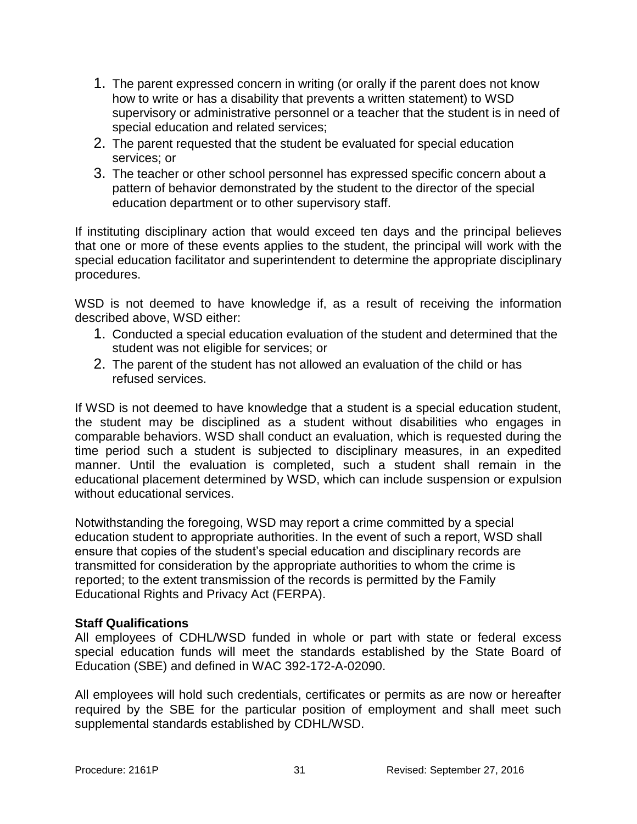- 1. The parent expressed concern in writing (or orally if the parent does not know how to write or has a disability that prevents a written statement) to WSD supervisory or administrative personnel or a teacher that the student is in need of special education and related services;
- 2. The parent requested that the student be evaluated for special education services; or
- 3. The teacher or other school personnel has expressed specific concern about a pattern of behavior demonstrated by the student to the director of the special education department or to other supervisory staff.

If instituting disciplinary action that would exceed ten days and the principal believes that one or more of these events applies to the student, the principal will work with the special education facilitator and superintendent to determine the appropriate disciplinary procedures.

WSD is not deemed to have knowledge if, as a result of receiving the information described above, WSD either:

- 1. Conducted a special education evaluation of the student and determined that the student was not eligible for services; or
- 2. The parent of the student has not allowed an evaluation of the child or has refused services.

If WSD is not deemed to have knowledge that a student is a special education student, the student may be disciplined as a student without disabilities who engages in comparable behaviors. WSD shall conduct an evaluation, which is requested during the time period such a student is subjected to disciplinary measures, in an expedited manner. Until the evaluation is completed, such a student shall remain in the educational placement determined by WSD, which can include suspension or expulsion without educational services.

Notwithstanding the foregoing, WSD may report a crime committed by a special education student to appropriate authorities. In the event of such a report, WSD shall ensure that copies of the student's special education and disciplinary records are transmitted for consideration by the appropriate authorities to whom the crime is reported; to the extent transmission of the records is permitted by the Family Educational Rights and Privacy Act (FERPA).

#### **Staff Qualifications**

All employees of CDHL/WSD funded in whole or part with state or federal excess special education funds will meet the standards established by the State Board of Education (SBE) and defined in WAC 392-172-A-02090.

All employees will hold such credentials, certificates or permits as are now or hereafter required by the SBE for the particular position of employment and shall meet such supplemental standards established by CDHL/WSD.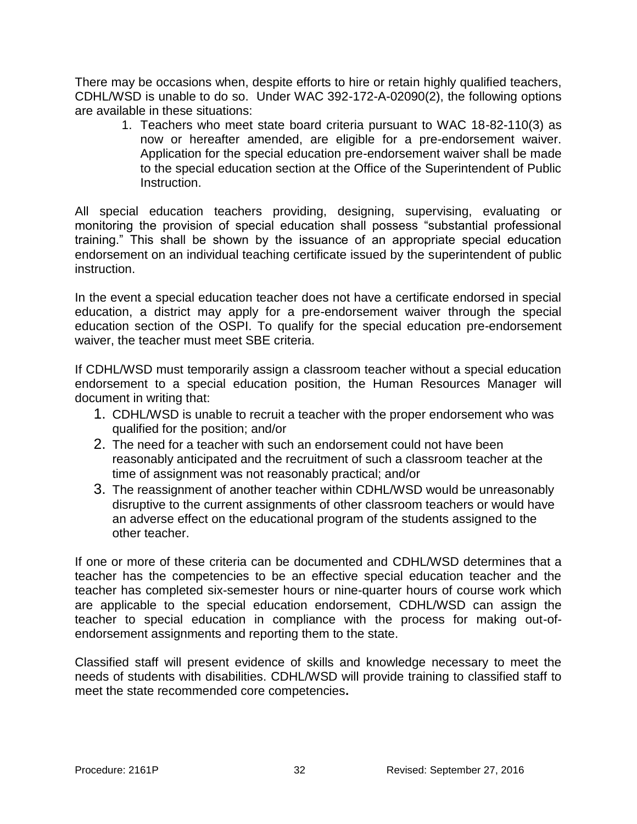There may be occasions when, despite efforts to hire or retain highly qualified teachers, CDHL/WSD is unable to do so. Under WAC 392-172-A-02090(2), the following options are available in these situations:

1. Teachers who meet state board criteria pursuant to WAC 18-82-110(3) as now or hereafter amended, are eligible for a pre-endorsement waiver. Application for the special education pre-endorsement waiver shall be made to the special education section at the Office of the Superintendent of Public Instruction.

All special education teachers providing, designing, supervising, evaluating or monitoring the provision of special education shall possess "substantial professional training." This shall be shown by the issuance of an appropriate special education endorsement on an individual teaching certificate issued by the superintendent of public instruction.

In the event a special education teacher does not have a certificate endorsed in special education, a district may apply for a pre-endorsement waiver through the special education section of the OSPI. To qualify for the special education pre-endorsement waiver, the teacher must meet SBE criteria.

If CDHL/WSD must temporarily assign a classroom teacher without a special education endorsement to a special education position, the Human Resources Manager will document in writing that:

- 1. CDHL/WSD is unable to recruit a teacher with the proper endorsement who was qualified for the position; and/or
- 2. The need for a teacher with such an endorsement could not have been reasonably anticipated and the recruitment of such a classroom teacher at the time of assignment was not reasonably practical; and/or
- 3. The reassignment of another teacher within CDHL/WSD would be unreasonably disruptive to the current assignments of other classroom teachers or would have an adverse effect on the educational program of the students assigned to the other teacher.

If one or more of these criteria can be documented and CDHL/WSD determines that a teacher has the competencies to be an effective special education teacher and the teacher has completed six-semester hours or nine-quarter hours of course work which are applicable to the special education endorsement, CDHL/WSD can assign the teacher to special education in compliance with the process for making out-ofendorsement assignments and reporting them to the state.

Classified staff will present evidence of skills and knowledge necessary to meet the needs of students with disabilities. CDHL/WSD will provide training to classified staff to meet the state recommended core competencies**.**